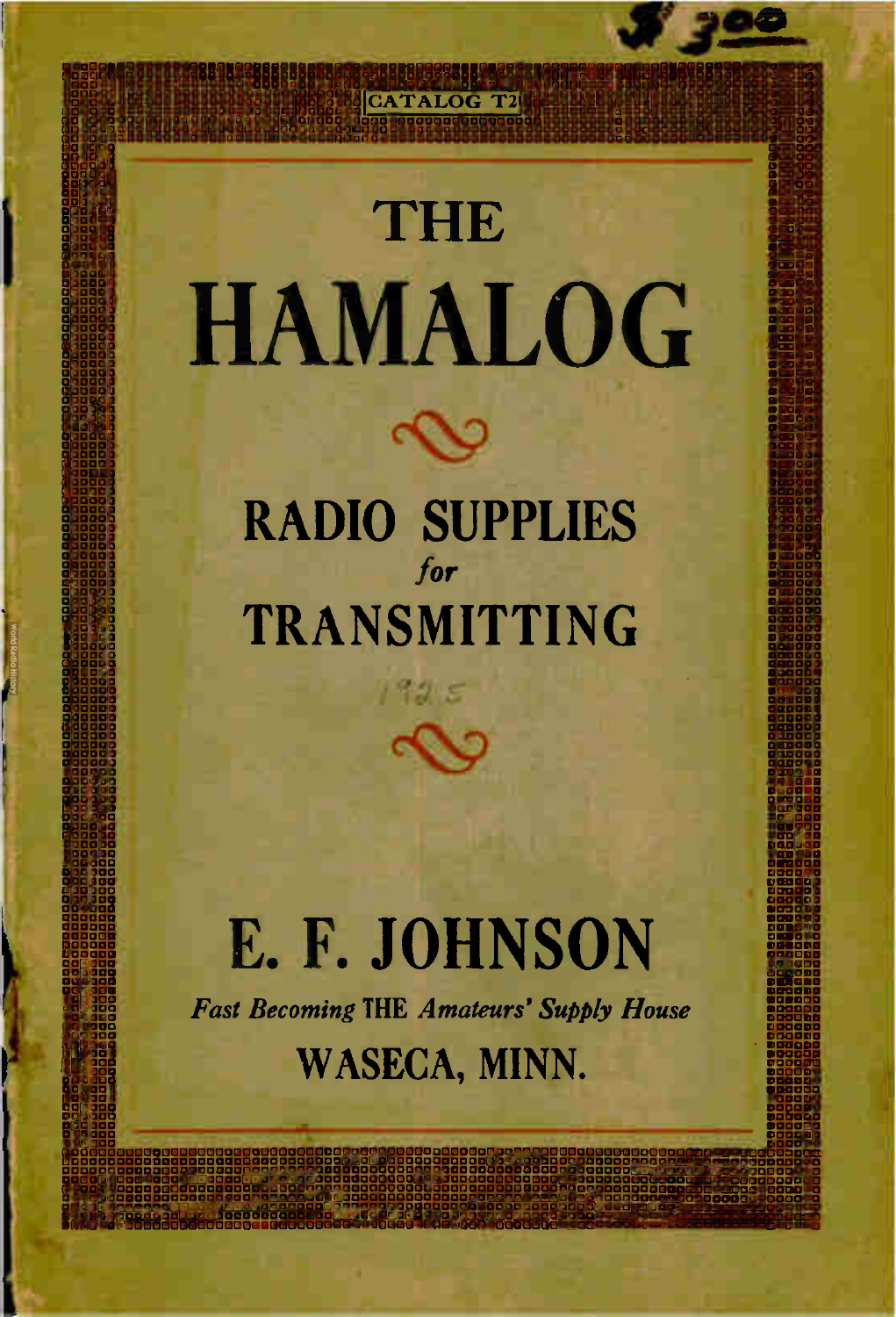# **THE HAMALOG**

11 O00000000 **REGENER** 

833838332388888888888888888888888

onacmoa onachoa orachoa oo cioa anaoa oo ciaocuatmoormacunsaaatecionnia oo cooxmormacunsaaatecionnia orachoa o

aoctoopoona aoctoopoona aoctoopoona aoctoopoona aoctoopoona aoctoopoona aoctoopoona aoctoopoona aoctoopoona ao<br>Aoctoopoona ao commocummo ao commocummo ao commocummo na maaricioona ao commo ao commo ao commo ao commo ao co 0000O7000000000000000000090000000000007000000000000000000001:10DOCICIOC100000000000000000000C10000GOGCUGGiODOGDO001313000000000000174000000 8888888888888 888883 33338223882338222322222222222231:122232222222222223232222322222222g223222222228 0,3ma.u,neesuesaangualiona OOOOOOOOOOO a OOOOOOO 11000000001.1011100000000000000000000000000000a600Q00O000G0004-i30000000000000001...a000000000

pgamm000000000 0001100000 000000000 l a° almanac **ODDONOO** 

O 000000000 aormaarigg 00000000

o 000000000000 ciocianoog OD00000000 ocmormaaa

000000000

O

O

 $\frac{2}{10}$ |<br>|-<br>|

0 C00OD 000  $\mid$ 

 $\overline{0}$ 

MOO 131 000 000  $\overline{0}$ 0<br>0000 1<br>2 ODD 000 0<br>1 |<br>| 000 • 0000 • 0000 gged by the set of the set of the set of the set of the set of the set of the set of the set of the set of the set of the set of the set of the set of the set of the set of the set of the set of the set of the set of the s  $\overline{a}$  $\overline{a}$ **00 00 000** 000 000000000 0000000

l:

l i

O 000.200000 000000000 O

O

n

0000000001300000000000000000000000000000000000000000000000000000000000000000000000000000000000000000007000000000000000000000000000 000000000000000000000000000000000000000000000000C100013000000000001:1001200000000000120000000000000000000000000001:10000000000000000120000 ancioacronooponamooponamaanciaacha ancioacha acmooponamacha acmooponamacha ancioacha acquisa acquisa acquisa a oci000rmarnuormormactoonac00000000nanormoanocare00000act000rmoommoocr000mmoomaacmooarmacianaaaaonoommoormacnanoonlooczamm000rmaomariorm uuu00000000000000000000010000000000000000000000012000000000000000000000000000000000000000000000000000000000000UUCIQ000000000000012000

oracioacioacioaaportoiloocacioacioaanonaotaarmaoaciacsaciacsaciacidada ao cooccioacioacioacioacioado coocioaci

00000000

000000000

00000000 **OD** OPERATING

00000000000000 00000000

00000000 00000000

# **RADIO SUPPLIES** for TRANSMITTING

 $1995$ 

# E. F. JOHNSON **Fast Becoming THE Amateurs' Supply House** WASECA, MINN.

O

000000000

 $\overline{\phantom{a}}$ 

O 000000000 O

O 0000000= **0000000** 

O O

O 000000000 00000000

000000000 O

O

O cmcmormaa 00000000

O 000000000 00000000

0000000

00000000

00000000

00000000

00000000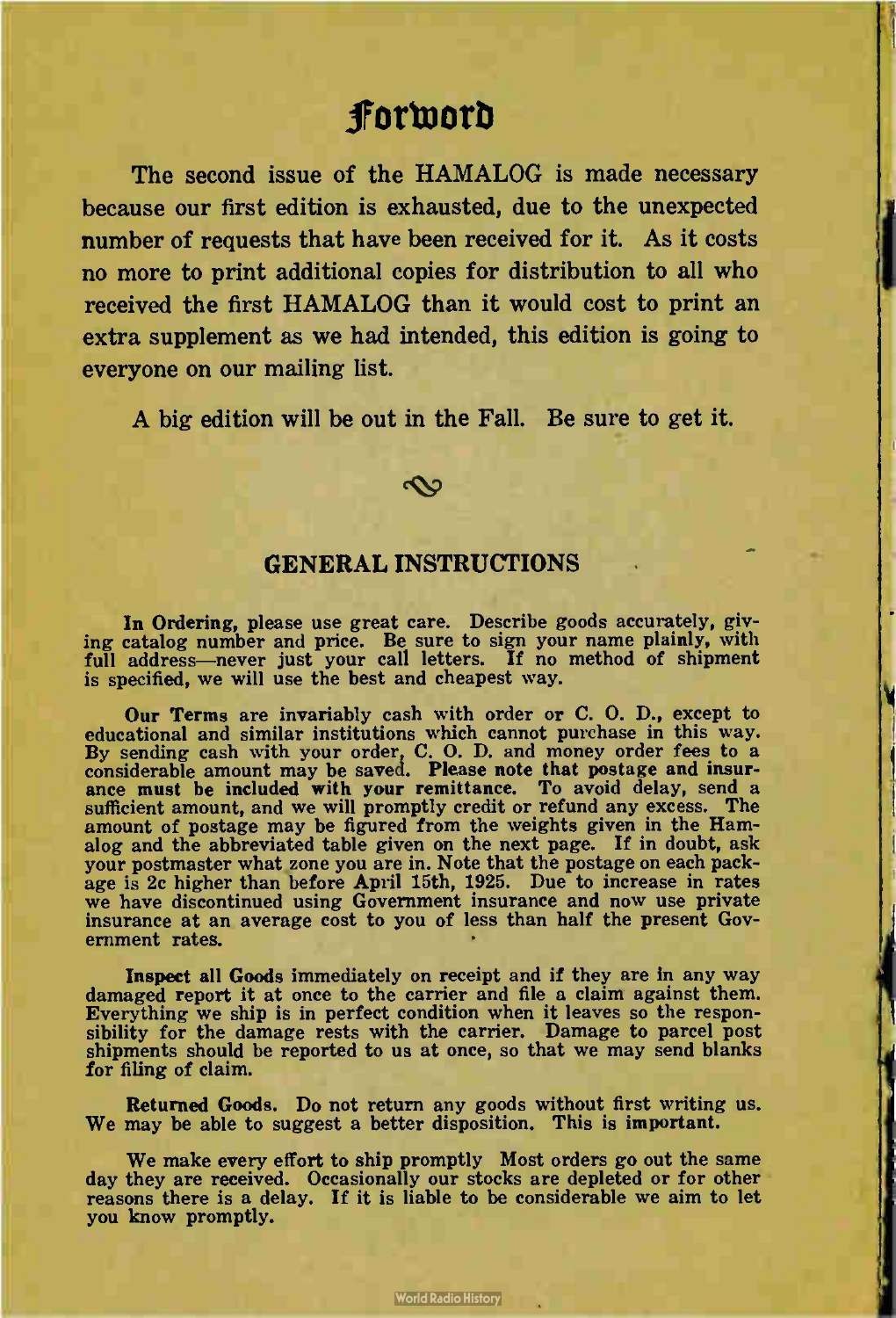# forword

The second issue of the HAMALOG is made necessary because our first edition is exhausted, due to the unexpected number of requests that have been received for it. As it costs no more to print additional copies for distribution to all who received the first HAMALOG than it would cost to print an extra supplement as we had intended, this edition is going to everyone on our mailing list.

A big edition will be out in the Fall. Be sure to get it.

#### ഹ

## GENERAL INSTRUCTIONS

In Ordering, please use great care. Describe goods accurately, giving catalog number and price. Be sure to sign your name plainly, with full address—never just your call letters. If no method of shipment is specified, we will use the best and cheapest way.

Our Terms are invariably cash with order or C. O. D., except to educational and similar institutions which cannot purchase in this way. educational and similar institutions which cannot purchase in this way. By sending cash with your order, C. O. D. and money order fees to a considerable amount may be saved. Please note that postage and insur-ance must be included with your remittance. To avoid delay, send a sufficient amount, and we will promptly credit or refund any excess. The amount of postage may be figured from the weights given in the Hamalog and the abbreviated table given on the next page. If in doubt, ask your postmaster what zone you are in. Note that the postage on each package is 2c higher than before April 15th, 1925. Due to increase in rates we have discontinued using Government insurance and now use private insurance at an average cost to you of less than half the present Government rates.

Inspect all Goods immediately on receipt and if they are in any way damaged report it at once to the carrier and file a claim against them. Everything we ship is in perfect condition when it leaves so the responsibility for the damage rests with the carrier. Damage to parcel post shipments should be reported to us at once, so that we may send blanks for filing of claim.

Returned Goods. Do not return any goods without first writing us. We may be able to suggest a better disposition. This is important.

We make every effort to ship promptly Most orders go out the same day they are received. Occasionally our stocks are depleted or for other reasons there is a delay. If it is liable to be considerable we aim to let you know promptly.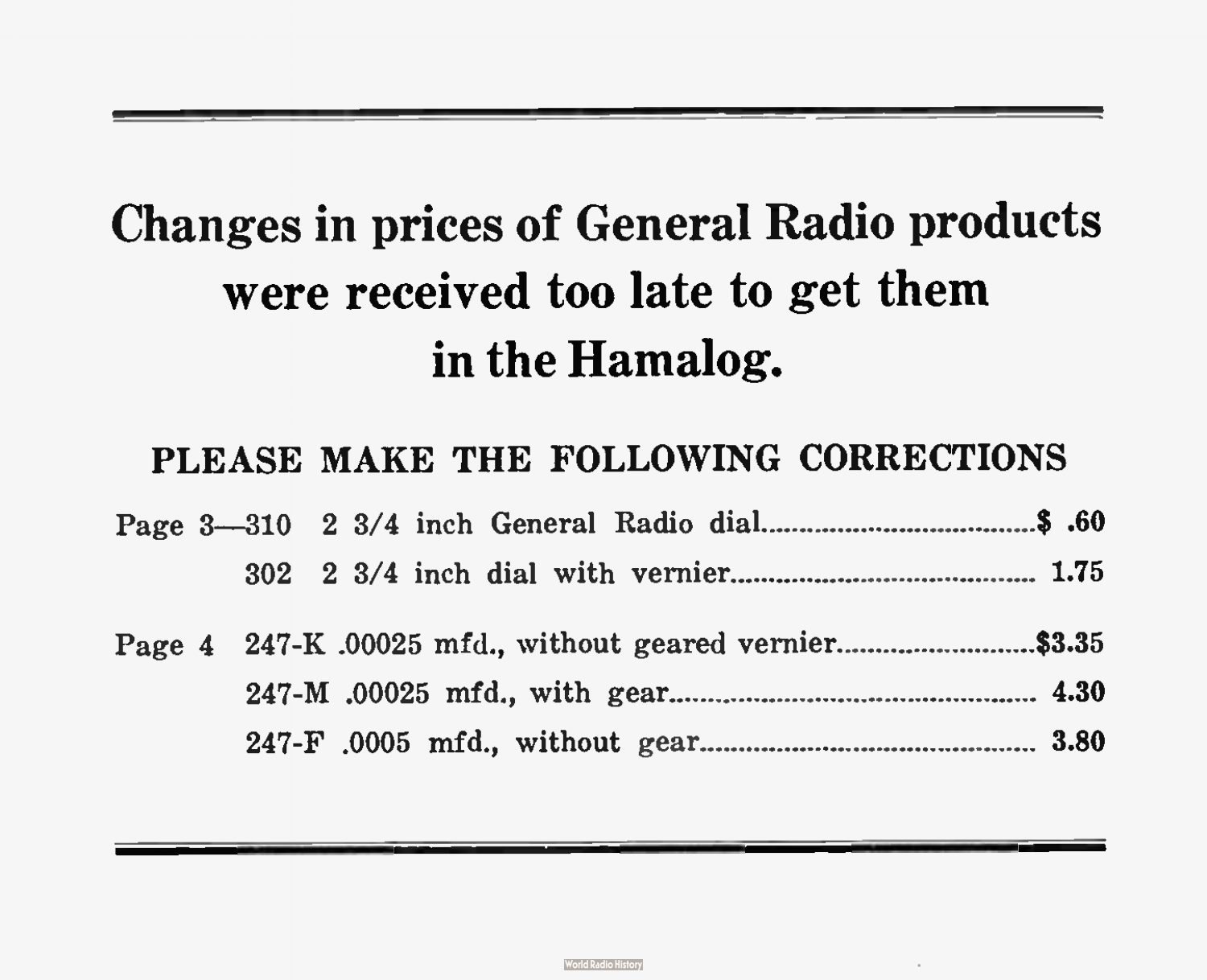# Changes in prices of General Radio products were received too late to get them in the Hamalog.

# PLEASE MAKE THE FOLLOWING CORRECTIONS

|  |  |  |  |  |  |  | Page 4 247-K .00025 mfd., without geared vernier\$3.35 |  |
|--|--|--|--|--|--|--|--------------------------------------------------------|--|
|  |  |  |  |  |  |  |                                                        |  |
|  |  |  |  |  |  |  |                                                        |  |

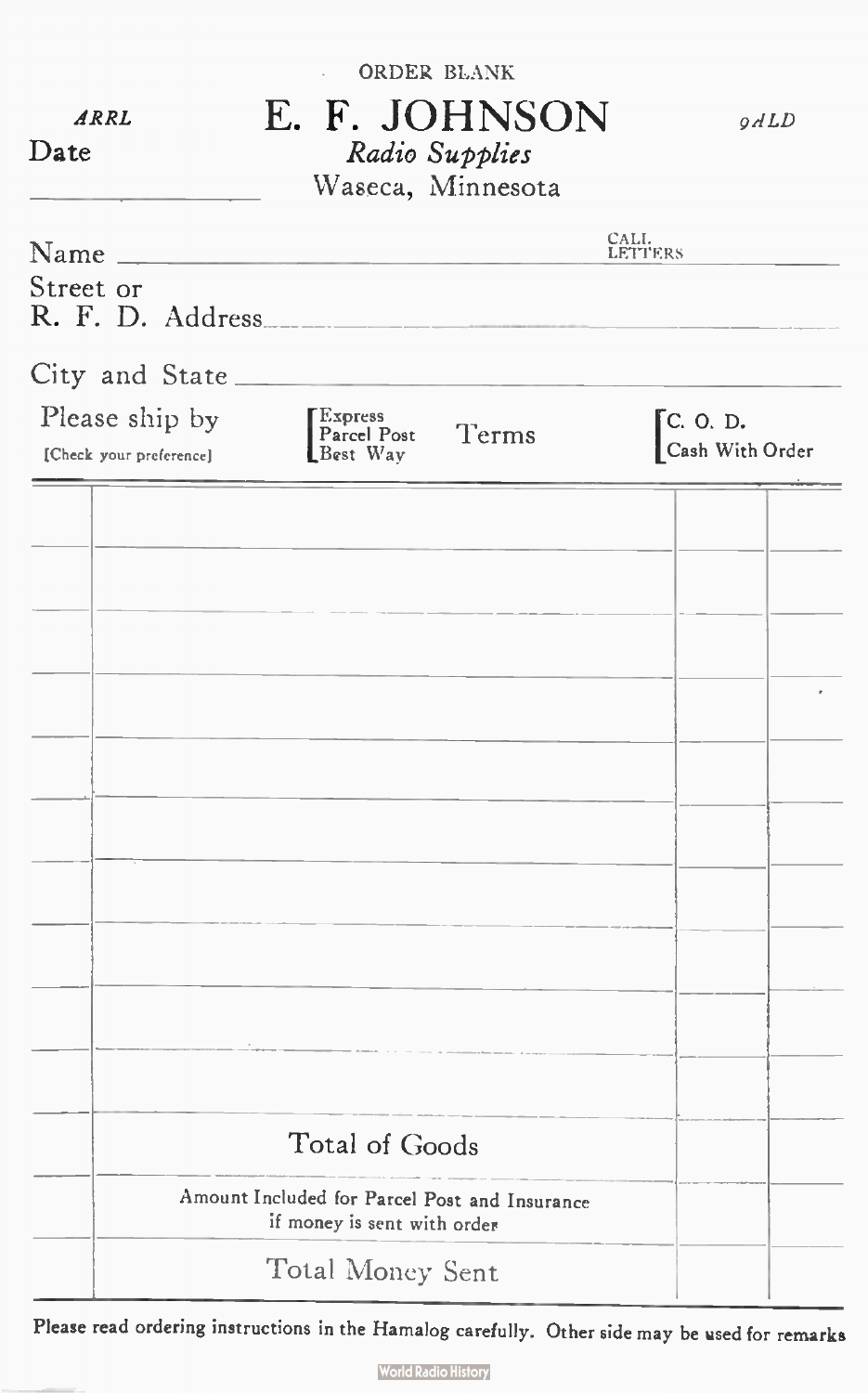| ARRL<br>Date                              | ORDER BLANK<br>E. F. JOHNSON<br>Radio Supplies<br>Waseca, Minnesota          | QALD                                    |
|-------------------------------------------|------------------------------------------------------------------------------|-----------------------------------------|
| Name_                                     |                                                                              | CALI.<br>LETTERS                        |
| Street or<br>R. F. D. Address.            |                                                                              |                                         |
| City and State.                           |                                                                              |                                         |
| Please ship by<br>[Check your preference] | Express<br>Parcel Post<br>Terms<br>Best Way                                  | $\mathsf{C}$ . O. D.<br>Cash With Order |
|                                           |                                                                              |                                         |
|                                           |                                                                              |                                         |
|                                           |                                                                              |                                         |
|                                           |                                                                              |                                         |
|                                           |                                                                              |                                         |
|                                           |                                                                              |                                         |
|                                           |                                                                              |                                         |
|                                           |                                                                              |                                         |
|                                           |                                                                              |                                         |
|                                           |                                                                              |                                         |
|                                           |                                                                              |                                         |
|                                           | Total of Goods                                                               |                                         |
|                                           | Amount Included for Parcel Post and Insurance<br>if money is sent with order |                                         |
|                                           | Total Money Sent                                                             |                                         |

Please read ordering instructions in the Hamalog carefully. Other side may be used for remarks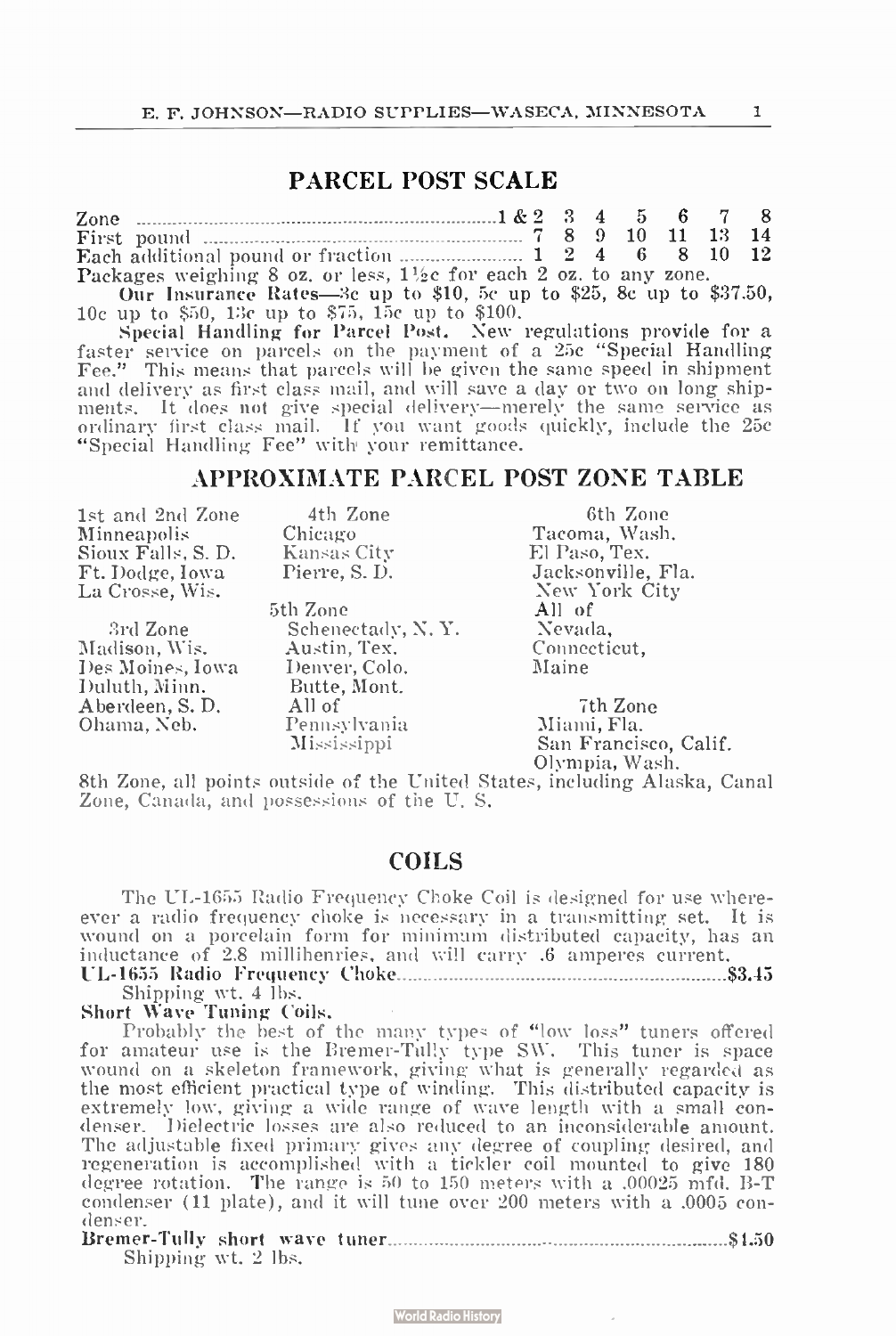# PARCEL POST SCALE

| Zone $\ldots$ $\ldots$ $\ldots$ $\ldots$ $\ldots$ $\ldots$ $\ldots$ $\ldots$ $\ldots$ $\ldots$ $\ldots$ $\ldots$ $\ldots$ $\ldots$ $\ldots$ $\ldots$ $\ldots$ $\ldots$ $\ldots$ $\ldots$ $\ldots$ $\ldots$ $\ldots$ $\ldots$ $\ldots$ $\ldots$ $\ldots$ $\ldots$ $\ldots$ $\ldots$ $\ldots$ $\ldots$ $\ldots$ $\ldots$ $\ldots$ $\ldots$ |  |  |  |  |
|------------------------------------------------------------------------------------------------------------------------------------------------------------------------------------------------------------------------------------------------------------------------------------------------------------------------------------------|--|--|--|--|
|                                                                                                                                                                                                                                                                                                                                          |  |  |  |  |
|                                                                                                                                                                                                                                                                                                                                          |  |  |  |  |
| Packages weighing 8 oz. or less, $1\frac{1}{2}c$ for each 2 oz. to any zone.                                                                                                                                                                                                                                                             |  |  |  |  |

Our Insurance Rates—3c up to  $\phi$ 10, 5c up to  $\phi$ 25,  $\phi$ 10c up to \$50, 13c up to \$75, 15c up to \$100. 8e up to \$37.50,

Special Handling for Parcel Post. New regulations provide for a faster service on parcels on the payment of a 25c "Special Handling Fee." This means that parcels will be given the same speed in shipment and delivery as first class mail, and will save a day or two on long shipments. It does not give special delivery—merely the same service as ordinary first class mail. If you want goods quickly, include the 25e "Special Handling Fee" with your remittance.

#### APPROXIMATE PARCEL POST ZONE TABLE

1st and 2nd Zone Minneapolis Sioux Falls, S. D. Ft. Dodge, Iowa La Crosse, Wis.

3rd Zone Madison, Wis. Des Moines, Iowa Duluth, Minn. Aberdeen, S. D. Ohama, Neb.

Kansas City El Paso, Tex.

5th Zone Schenectady, N. Y. Austin, Tex. Denver, Colo. Butte, Mont. All of Pennsylvania Mississippi

4th Zone 6th Zone Chicago Tacoma, Wash. Pierre, S. D. Jacksonville, Fla. New York City All of Nevada, Connecticut, Maine

> 7th Zone Miami, Fla. San Francisco, Calif. Olympia, Wash.

8th Zone, all points outside of the United States, including Alaska, Canal Zone, Canada, and possessions of the U. S.

#### COILS

The UL-1655 Radio Frequency Choke Coil is designed for use whereever a radio frequency choke is necessary in a transmitting set. It is wound on a porcelain form for minimum distributed capacity, has an inductance of 2.8 millihenries, and will carry .6 amperes current. UL- 1655 Radio Frequency Choke \$3.45

Shipping wt. 4 lbs.

Short Wave Tuning Coils. •

Probably the best of the many types of "low loss" tuners offered for amateur use is the Bremer-Tully type SW. This tuner is space wound on a skeleton framework, giving what is generally regarded as the most efficient practical type of winding. This distributed capacity is extremely low, giving a wide range of wave length with a small condenser. Dielectric losses are also reduced to an inconsiderable amount. The adjustable fixed primary gives any degree of coupling desired, and regeneration is accomplished with a tickler coil mounted to give 180 degree rotation. The range is 30 to 150 meters with a .00025 mfd. B-T condenser ( 11 plate), and it will tune over 200 meters with a . 0005 con-Bremer-Tully short wave tuner \$4.50 denser.

| Shipping wt. 2 lbs. |  |  |
|---------------------|--|--|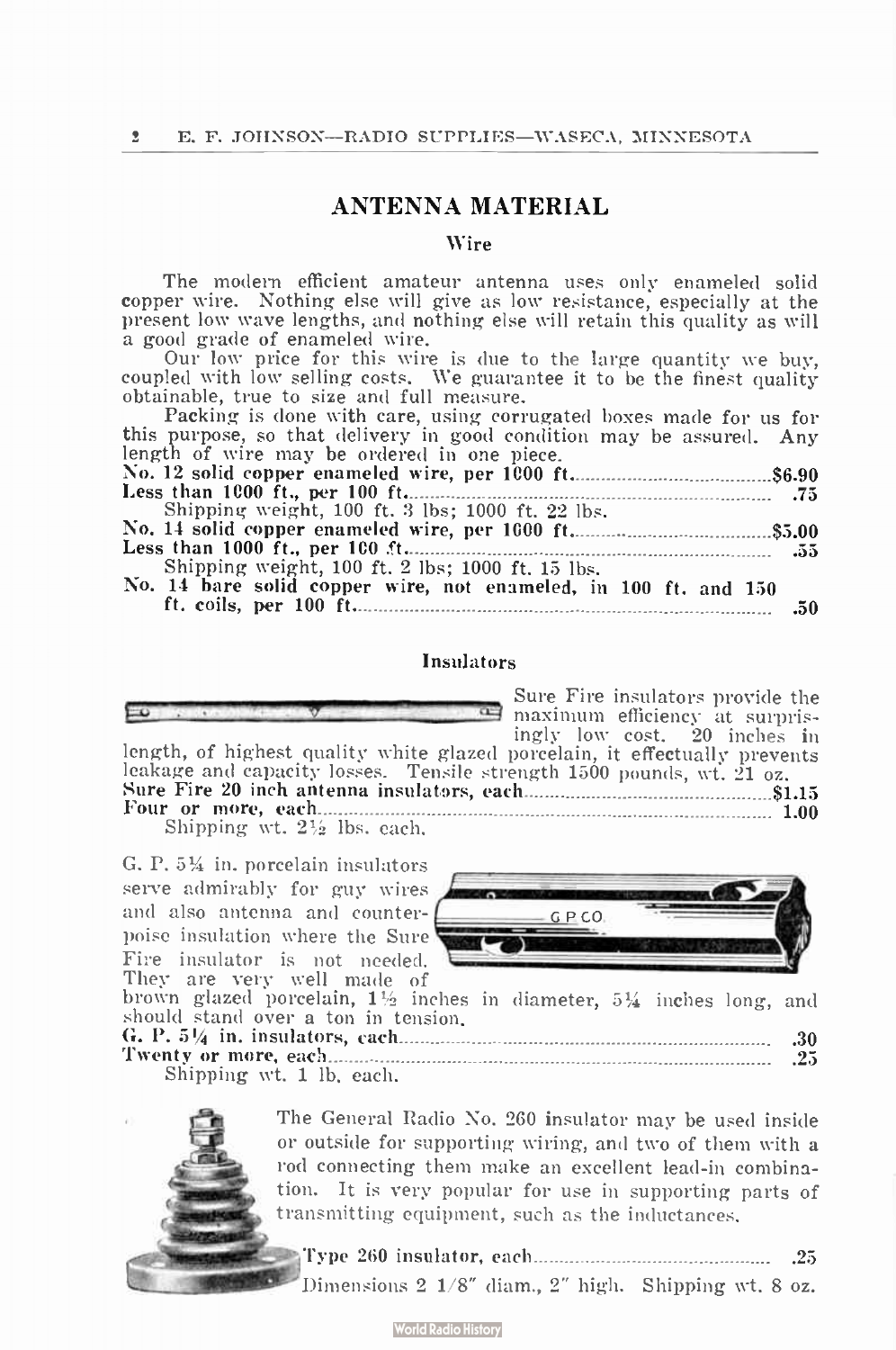# ANTENNA MATERIAL

#### Wire

The modern efficient amateur antenna uses only enameled solid copper wire. Nothing else will give as low resistance, especially at the present low wave lengths, and nothing else will retain this quality as will a good grade of enameled wire.

Our low price for this wire is due to the large quantity we buy, coupled with low selling costs. We guarantee it to be the finest quality obtainable, true to size and full measure.

Packing is done with care, using corrugated boxes made for us for this purpose, so that delivery in good condition may be assured. Any

| this purpose, so that delivery in good condition may be assured. Any |  |
|----------------------------------------------------------------------|--|
| length of wire may be ordered in one piece.                          |  |
|                                                                      |  |
|                                                                      |  |
| Shipping weight, 100 ft, 3 lbs: 1000 ft, 22 lbs.                     |  |
|                                                                      |  |
|                                                                      |  |
| Shipping weight, 100 ft. 2 lbs; 1000 ft. 15 lbs.                     |  |
| No. 14 bare solid copper wire, not enameled, in 100 ft. and 150      |  |
|                                                                      |  |

#### Insulators

|--|--|--|--|--|--|--|--|--|

ingly low cost. 20 inches in length, of highest quality white glazed porcelain, it effectually prevents leakage and capacity losses. Tensile strength 1500 pounds, wt. 21 oz. Sure Fire 20 inch antenna insulators, each \$1.15 Four or more, each 1.00

Shipping wt.  $2\frac{1}{2}$  lbs. each.

G. P. 5<sup>1</sup>/<sub>4</sub> in. porcelain insulators serve admirably for guy wires and also antenna and counter- $\Box$  GPCO poise insulation where the Sure Fire insulator is not needed. They are very well made of



Sure Fire insulators provide the maximum efficiency at surpris-

brown glazed porcelain, 1% inches in diameter, 53/4 inches long, and should stand over a ton in tension. G. P. 51/<sup>4</sup> in. insulators, each .30

|                          | U   |  |
|--------------------------|-----|--|
|                          | .25 |  |
| Shipping wt. 1 lb. each. |     |  |



The General Radio No. 260 insulator may be used inside or outside for supporting wiring, and two of them with a rod connecting them make an excellent lead-in combination. It is very popular for use in supporting parts of transmitting equipment, such as the inductances.

Type 260 insulator, each .25 Dimensions 2 1/8" diam., 2" high. Shipping wt. 8 oz.

**World Radio History**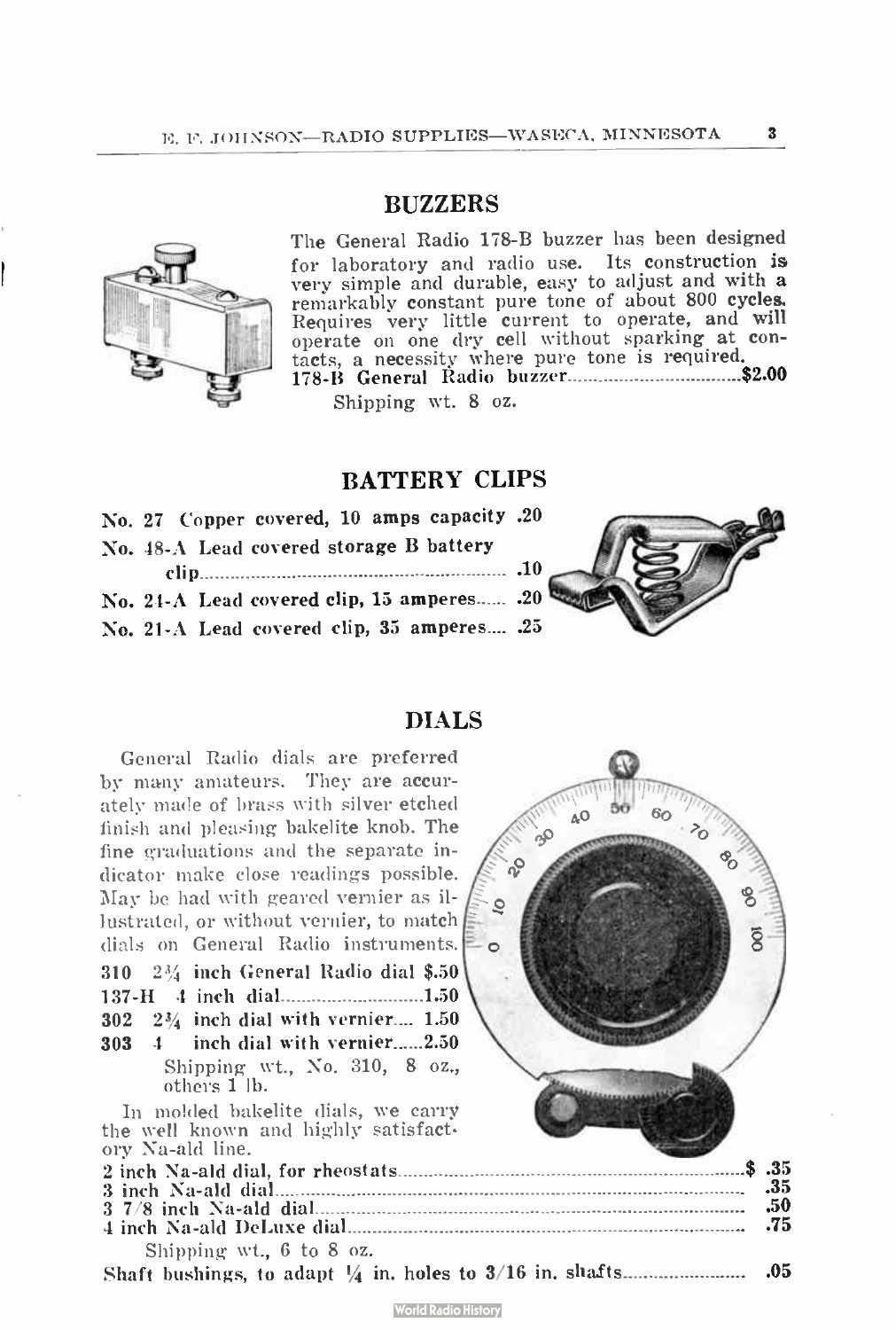# **BUZZERS**

The General Radio 178-B buzzer has been designed for laboratory and radio use. Its construction is very simple and durable, easy to adjust and with a remarkably constant pure tone of about 800 cycles. Requires very little current to operate, and will operate on one dry cell without sparking at con-tacts, a necessity where pure tone is required. 178-B General Radio buzzer \$2.00 Shipping wt. 8 oz.

BATTERY CLIPS

|  |                                         |  | No. 27 Copper covered, 10 amps capacity .20 |  |
|--|-----------------------------------------|--|---------------------------------------------|--|
|  | No. 48-A Lead covered storage B battery |  |                                             |  |
|  |                                         |  |                                             |  |
|  |                                         |  | No. 24-A Lead covered clip, 15 amperes . 20 |  |
|  |                                         |  | No. 21-A Lead covered clip, 35 amperes . 25 |  |

DIALS

| General Radio dials are preferred<br>by many amateurs. They are accur-<br>ately made of brass with silver etched<br>finish and pleasing bakelite knob. The<br>fine graduations and the separate in-<br>$\sim$<br>dicator make close readings possible.<br>May be had with geared vernier as il-<br>ē<br>lustrated, or without vernier, to match<br>dials on General Radio instruments. | ğ            |
|----------------------------------------------------------------------------------------------------------------------------------------------------------------------------------------------------------------------------------------------------------------------------------------------------------------------------------------------------------------------------------------|--------------|
| 310 2¼ inch General Radio dial \$.50<br>1.50                                                                                                                                                                                                                                                                                                                                           |              |
| $302 \quad 2\frac{3}{4}$ inch dial with vernier 1.50                                                                                                                                                                                                                                                                                                                                   |              |
| inch dial with vernier2.50<br>$303 \quad 4$<br>Shipping wt., No. 310, 8 oz.,<br>others 1 lb.                                                                                                                                                                                                                                                                                           |              |
| In molded bakelite dials, we carry<br>the well known and highly satisfact.<br>ory Na-ald line.                                                                                                                                                                                                                                                                                         |              |
|                                                                                                                                                                                                                                                                                                                                                                                        | \$.35<br>.35 |
|                                                                                                                                                                                                                                                                                                                                                                                        | .50<br>.75   |
| Shipping wt., 6 to 8 oz.                                                                                                                                                                                                                                                                                                                                                               |              |
|                                                                                                                                                                                                                                                                                                                                                                                        | .05          |





 $\mathbf{3}$ 

**World Radio History**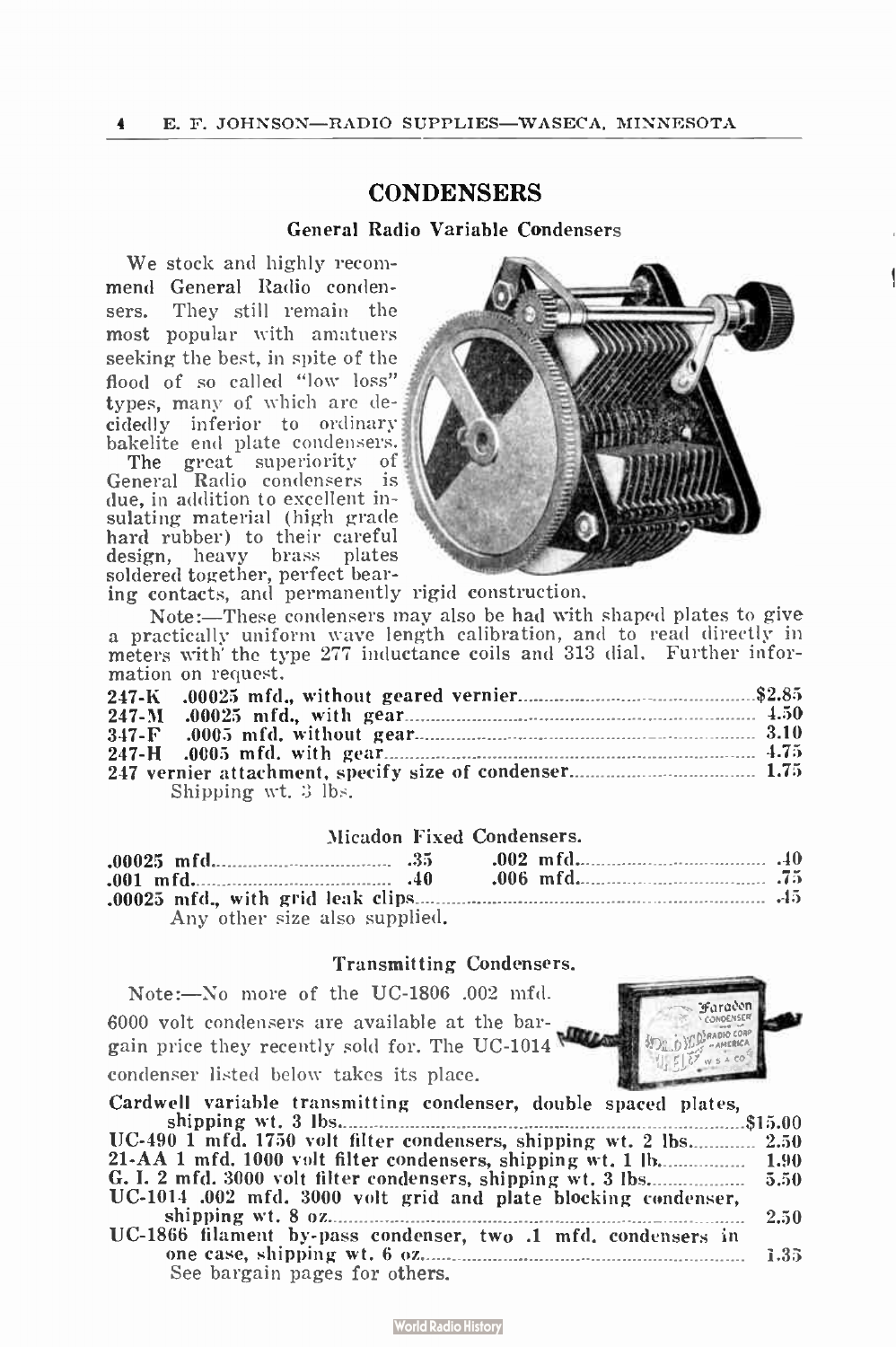# **CONDENSERS**

#### General Radio Variable Condensers

We stock and highly recommend General Radio condensers. They still remain the most popular with amatuers seeking the best, in spite of the flood of so called "low loss" types, many of which are decidedly inferior to ordinary bakelite end plate condensers.

The great superiority of General Radio condensers is due, in addition to excellent insulating material (high grade hard rubber) to their careful design, heavy brass plates soldered together, perfect bear-



ing contacts, and permanently rigid construction.

Note:—These condensers may also be had with shaped plates to give a practically uniform wave length calibration, and to read directly in meters with' the type 277 inductance coils and 313 dial. Further information on request.

| mation on request.  |  |
|---------------------|--|
|                     |  |
|                     |  |
|                     |  |
|                     |  |
|                     |  |
| Shipping wt. 3 lbs. |  |

#### Micadon Fixed Condensers.

| Micadon Fixed Condensers.     |  |  |
|-------------------------------|--|--|
|                               |  |  |
| $.001$ mfd. 40                |  |  |
|                               |  |  |
| Any other size also supplied. |  |  |

#### Transmitting Condensers.

Note:—No more of the UC-1806 .002 mfd. 6000 volt condensers are available at the bargain price they recently sold for. The UC-1014 condenser listed below takes its place. 2005 - 2006<br>2007 - 2008 - 2008 - 2008 - $\sim$  100  $\sim$ 



| Cardwell variable transmitting condenser, double spaced plates,    |      |
|--------------------------------------------------------------------|------|
|                                                                    |      |
| UC-490 1 mfd. 1750 volt filter condensers, shipping wt. 2 lbs 2.50 |      |
|                                                                    |      |
|                                                                    |      |
| UC-1014 .002 mfd. 3000 volt grid and plate blocking condenser,     |      |
|                                                                    | 2.50 |
| UC-1866 filament by-pass condenser, two .1 mfd. condensers in      |      |
|                                                                    |      |
| See bargain pages for others.                                      |      |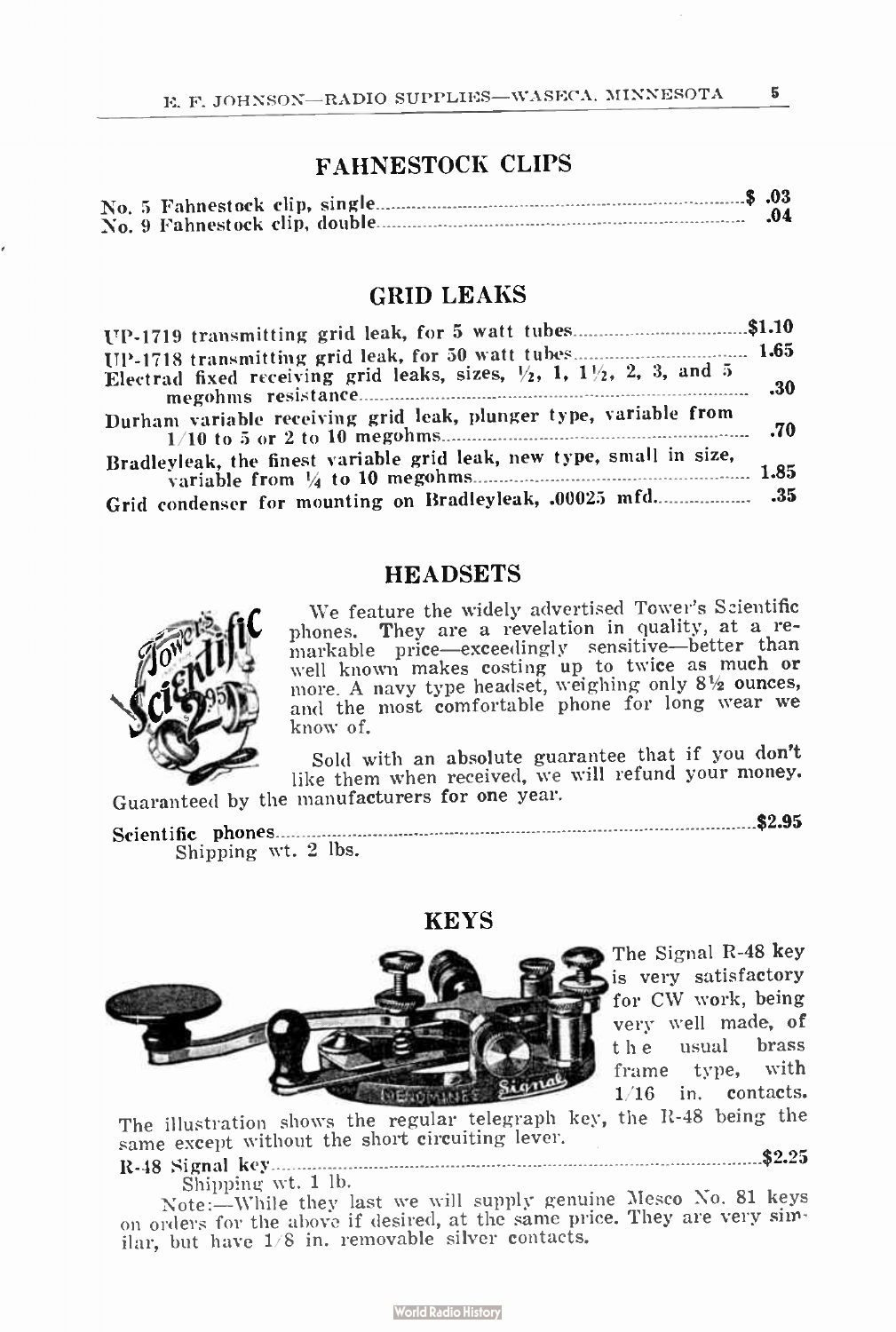# FAHNESTOCK CLIPS

|  | т англяртоси сын э |     |
|--|--------------------|-----|
|  |                    | .04 |

#### GRID LEAKS

| UP-1719 transmitting grid leak, for 5 watt tubes\$1.10                                       |     |
|----------------------------------------------------------------------------------------------|-----|
|                                                                                              |     |
| Electrad fixed receiving grid leaks, sizes, $\frac{1}{2}$ , 1, 1 $\frac{1}{2}$ , 2, 3, and 5 | -30 |
| Durham variable receiving grid leak, plunger type, variable from                             |     |
| Bradleyleak, the finest variable grid leak, new type, small in size,                         |     |
| Grid condenser for mounting on Bradleyleak, .00025 mfd.                                      |     |

# **HEADSETS**



We feature the widely advertised Tower's Scientific phones. They are a revelation in quality, at a remarkable price—exceedingly sensitive—better than well known makes costing up to twice as much or<br>more. A navy type headset, weighing only 8½ ounces, and the most comfortable phone for long wear we know of.

Sold with an absolute guarantee that if you don't like them when received, we will refund your money. Guaranteed by the manufacturers for one year.

Scientific phones \$2.95 Shipping wt. 2 lbs.

#### **KEYS**



The Signal R-48 key is very satisfactory for CW work, being very well made, of t h e usual brass frame type, with 1/16 in. contacts.

The illustration shows the regular telegraph key, the R-48 being the same except without the short circuiting lever. The illustration shows the regular telegraph key, the R-48 being the same except without the short circuiting lever.<br>R-48 Signal key execution is a signal key and the short circuiting lever.

# Shipping wt. 1 lb.

Note:—While they last we will supply genuine Mesco No. 81 keys on orders for the above if desired, at the same price. They are very similar, but have 1/8 in. removable silver contacts.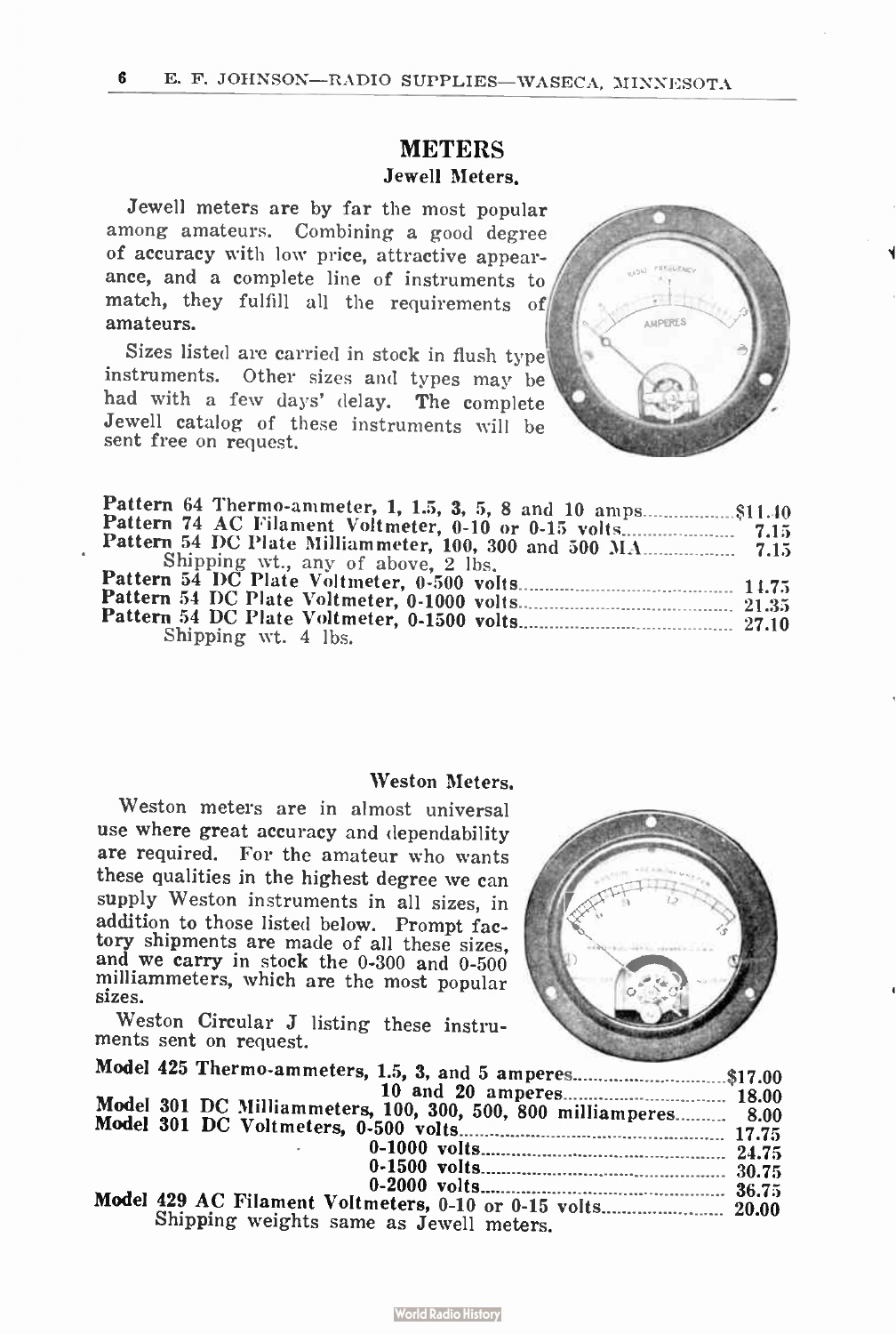# **METERS** Jewell Meters.

Jewell meters are by far the most popular among amateurs. Combining a good degree of accuracy with low price, attractive appearance, and a complete line of instruments to match, they fulfill all the requirements of amateurs.

Sizes listed are carried in stock in flush type instruments. Other sizes and types may be had with a few days' delay. The complete Jewell catalog of these instruments will be sent free on request.



| Shipping wt., any of above, 2 lbs. |  |
|------------------------------------|--|
|                                    |  |
|                                    |  |
|                                    |  |
| Shipping wt. 4 lbs.                |  |

#### Weston Meters.

Weston meters are in almost universal use where great accuracy and dependability are required. For the amateur who wants these qualities in the highest degree we can supply Weston instruments in all sizes, in addition to those listed below. Prompt factory shipments are made of all these sizes, and we carry in stock the 0-300 and 0-500 milliammeters, which are the most popular sizes.

Weston Circular J listing these instruments sent on request.



| Model 425 Thermo-ammeters, 1.5, 3, and 5 amperes\$17.00          |  |
|------------------------------------------------------------------|--|
| Model 301 DC Milliammeters, 100, 300, 500, 800 milliamperes 8.00 |  |
|                                                                  |  |
| and the control of the                                           |  |
|                                                                  |  |
|                                                                  |  |
| Model 429 AC Filament Voltmeters, 0-10 or 0-15 volts 20.00       |  |
| Shipping weights same as Jewell meters.                          |  |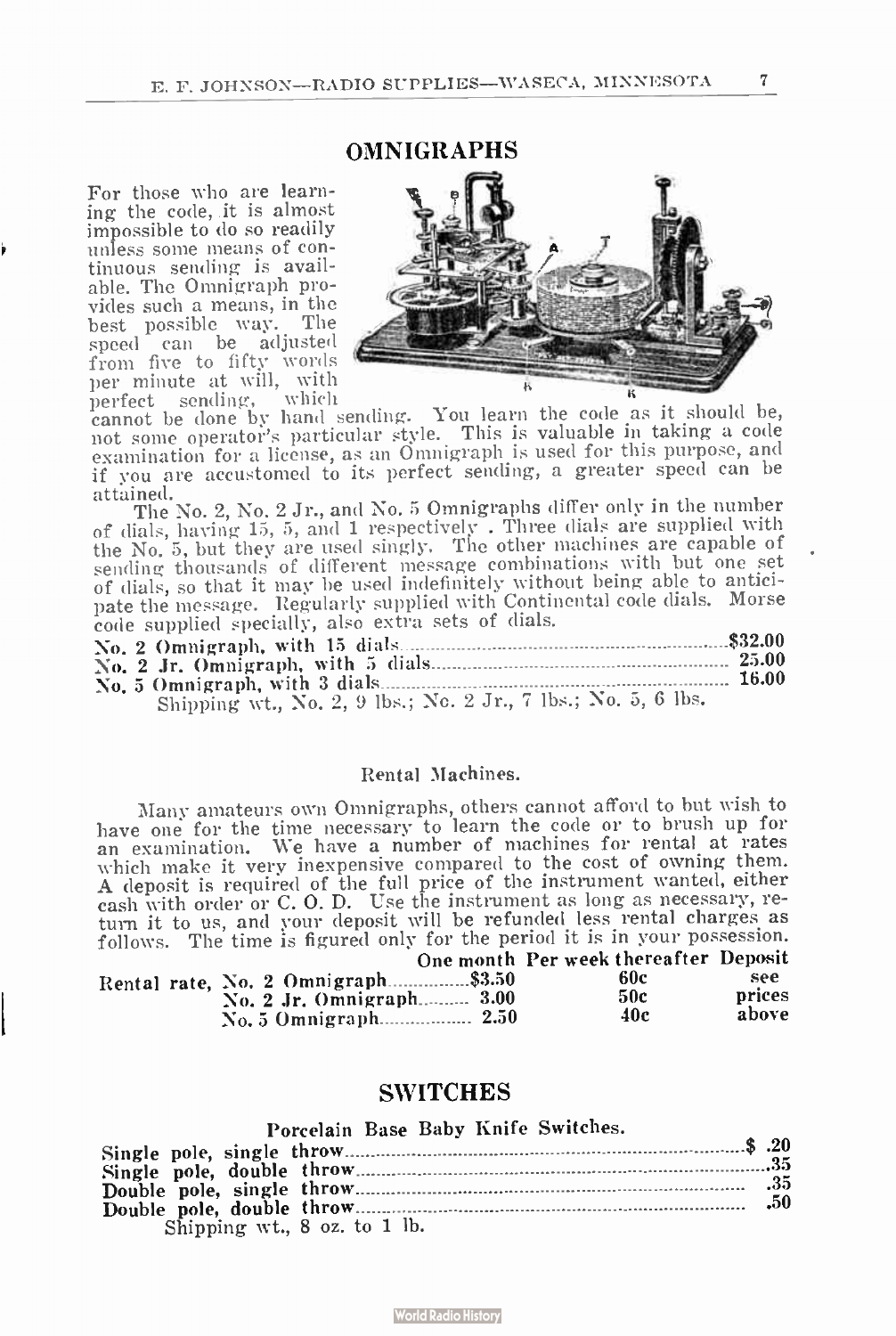**OMNIGRAPHS** 

For those who are learning the code, it is almost impossible to do so readily unless some means of continuous sending is available. The Omnigraph provides such a means, in the best possible way. The speed can be adjusted from five to fifty words per minute at will, with<br>perfect sending, which



perfect sending, which cannot be done by hand sending. You learn the code as it should be, not some operator's particular style. This is valuable in taking a code examination for a license, as an Omnigraph is used for this purpose, and if you are accustomed to its perfect sending, a greater speed can be attained.

The No. 2, No. 2 Jr., and No. 5 Omnigraphs differ only in the number of dials, having 15, 5, and 1 respectively . Three dials are supplied with the No. 5, but they are used singly. The other machines are capable of sending thousands of different message combinations with but one set of dials, so that it may be used indefinitely without being able to anticipate the message. Regularly supplied with Continental code dials. Morse

| <b>DATE THE HIGHGAGE.</b> HOS with $\eta$ and prove them $\eta$ is the set |       |
|----------------------------------------------------------------------------|-------|
| code supplied specially, also extra sets of dials.                         |       |
|                                                                            |       |
|                                                                            |       |
|                                                                            | 16.00 |
| Shipping wt., No. 2, 9 lbs.; No. 2 Jr., 7 lbs.; No. 5, 6 lbs.              |       |

#### Rental Machines.

Many amateurs own Onmigraphs, others cannot afford to but wish to have one for the time necessary to learn the code or to brush up for an examination. We have a number of machines for rental at rates which make it very inexpensive compared to the cost of owning them. A deposit is required of the full price of the instrument wanted, either cash with order or C. O. D. Use the instrument as long as necessary, return it to us, and your deposit will be refunded less rental charges as follows. The time is figured only for the period it is in your possession.

|                                    | One month Per week thereafter Deposit |        |
|------------------------------------|---------------------------------------|--------|
| Rental rate, No. 2 Omnigraph\$3.50 | 60c                                   | see    |
| No. 2 Jr. Omnigraph 3.00           | 50c                                   | prices |
|                                    | 40c                                   | above  |

#### SWITCHES

| Porcelain Base Baby Knife Switches. |  |
|-------------------------------------|--|
|                                     |  |
|                                     |  |
|                                     |  |
| Shipping wt., 8 oz. to 1 lb.        |  |

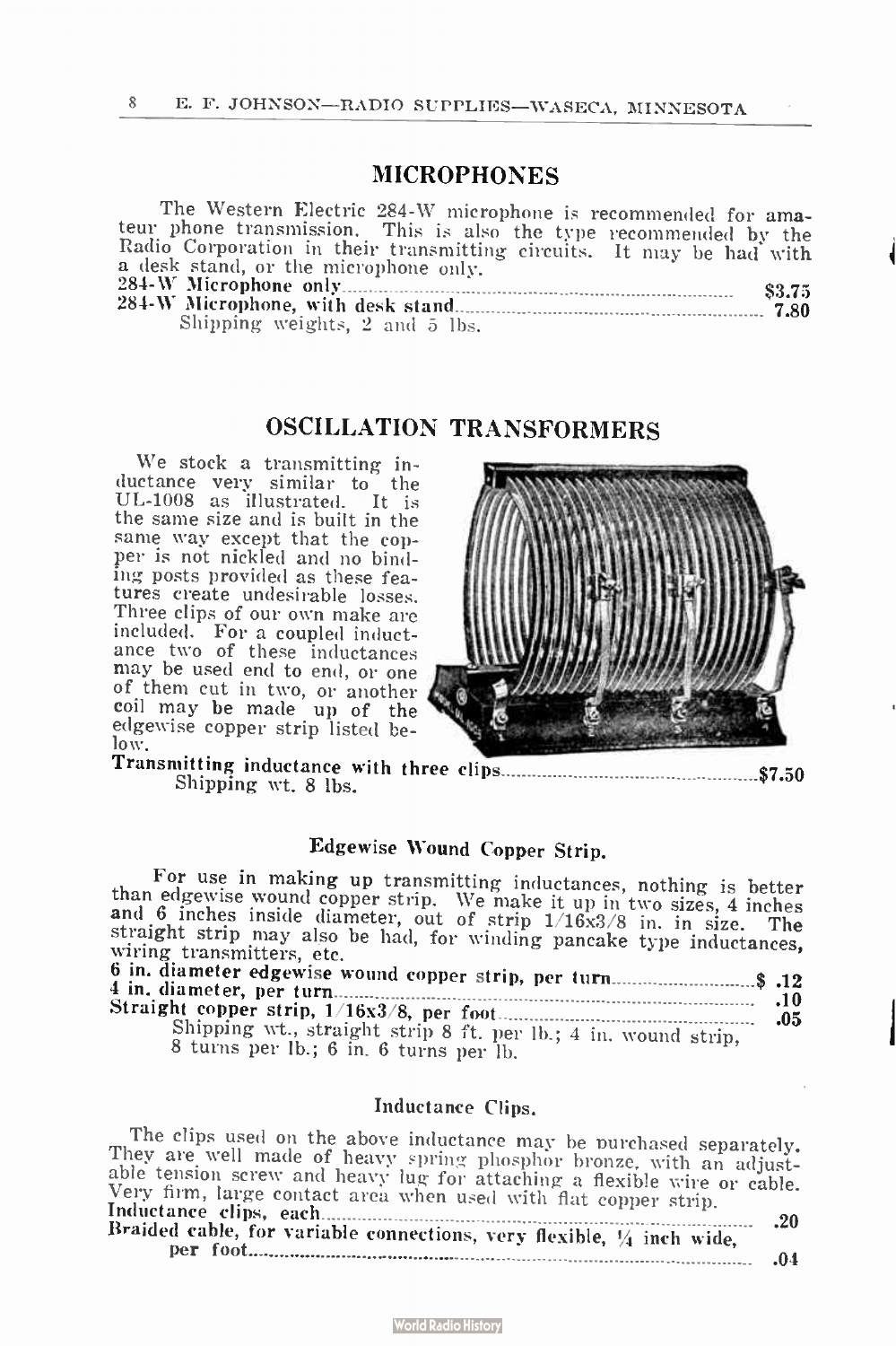# MICROPHONES

The Western Electric 284-W microphone is recommended for amateur phone transmission. This is also the type recommended by the Radio Corporation in their transmitting circuits. It may be had with a desk stand, or the microphone only. Radio Corporation in their transmitting circuits. It may be had with<br>a desk stand, or the microphone only.<br> $284-W$  Microphone only  $\frac{1}{284-W}$  Microphone only  $\frac{1}{284-W}$ 284-W Microphone, with desk stand 7.80 Shipping weights, 2 and 5 lbs.

# OSCILLATION TRANSFORMERS

We stock a transmitting inductance very similar to the UL-1008 as illustrated. It is the same size and is built in the same way except that the copper is not nickled and no binding posts provided as these features create undesirable losses. Three clips of our own make are included. For a coupled inductance two of these inductances may be used end to end, or one of them cut in two, or another coil may be made up of the edgewise copper strip listed below.



Transmitting inductance with three clips \$7.50 Shipping wt. 8 lbs.

# Edgewise Wound Copper Strip.

For use in making up transmitting inductances, nothing is better than edgewise wound copper strip. We make it up in two sizes, 4 inches and 6 inches inside diameter, out of strip 1/16x3/8 in. in size. The straight strip may also be had, for winding pancake type inductances, wiring transmitters, etc. 6 in. diameter edgewise wound copper strip, per turn \$ .12 4 in. diameter, per turn .10 Straight copper strip, 1 / 16x3/8, per foot .05 Shipping wt., straight strip 8 ft. per lb.; 4 in. wound strip, 8 turns per lb.; 6 in. 6 turns per lb.

#### Inductance Clips.

The clips used on the above inductance may be purchased separately. They are well made of heavy spring phosphor bronze, with an adjust-able tension screw and heavy lug for attaching a flexible wire or cable. Very firm, large contact area when used with flat copper strip. The clips used on the above inductance may be purchased separately.<br>They are well made of heavy spring phosphor bronze, with an adjust-<br>able tension screw and heavy lug for attaching a flexible wire or cable.<br>Very firm, la Braided cable, for variable connections, very flexible,  $\frac{1}{4}$  inch wide, per foot .04

|--|--|

#### **World Radio History**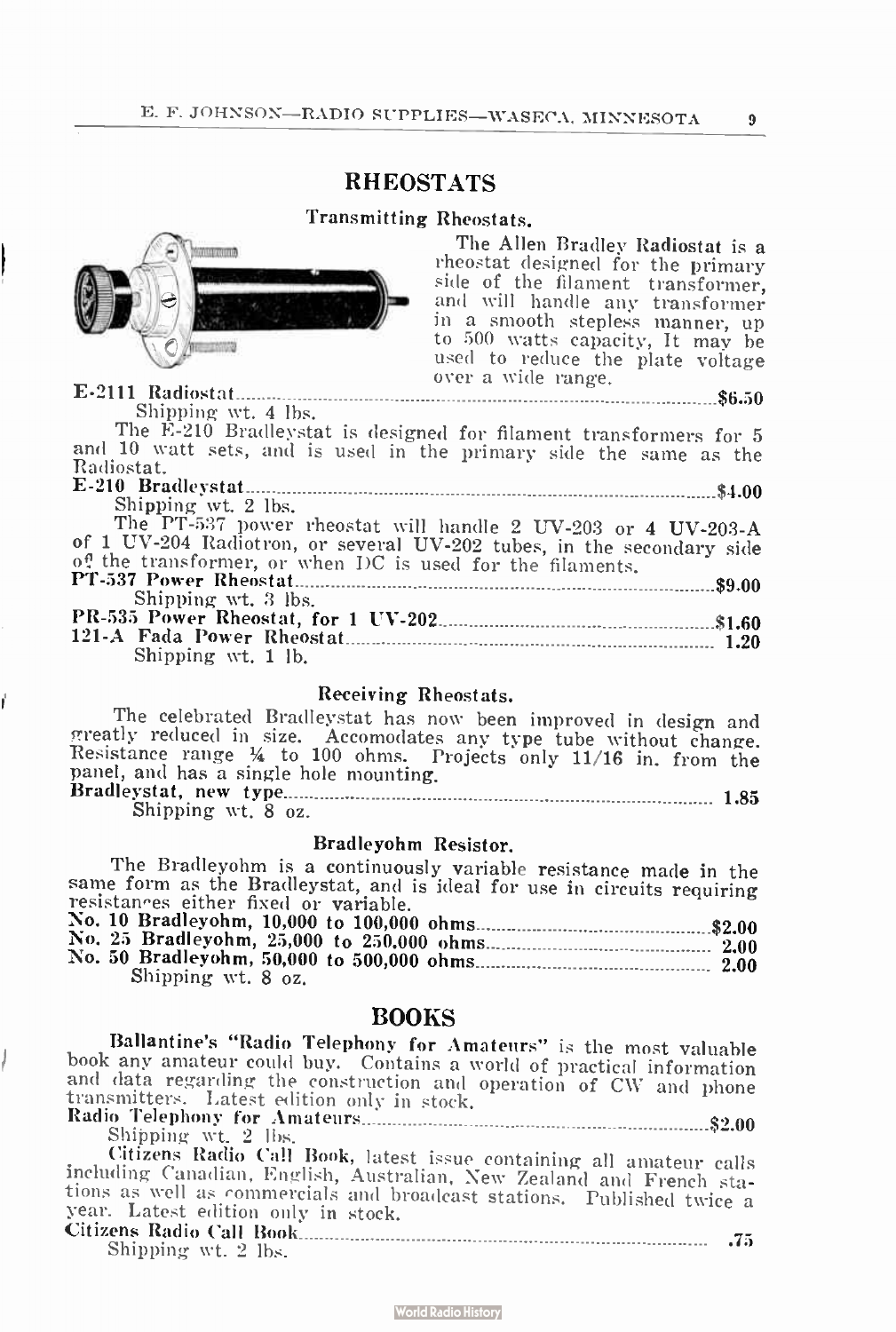# RHEOSTATS

#### Transmitting Rheostats.



The Allen Bradley Radiostat is a rheostat designed for the primary side of the filament transformer, and will handle any transformer in a smooth stepless manner, up to 500 watts capacity, It may be used to reduce the plate voltage over a wide range.

í

E-2111 Radiostat 56.50 Shipping wt. 4 lbs.

The E-210 Bradleystat is designed for filament transformers for 5 and 10 watt sets, and is used in the primary side the same as the Radiostat. E-210 Bradleystat \$4.00

Shipping wt. 2 lbs.

The PT-537 power rheostat will handle 2 UV-203 or 4 UV-203-A of 1 UV-204 Radiotron, or several UV-202 tubes, in the secondary side of the transformer, or when DC is used for the filaments. PT-537 Power Rheostat \$9.00 Shipping wt. 3 lbs.

| Shipping wt. 3 lbs. |  |
|---------------------|--|
|                     |  |
|                     |  |
| Shipping wt. 1 lb.  |  |

#### Receiving Rheostats.

The celebrated Bradleystat has now been improved in design and ereatly reduced in size. Accomodates any type tube without change. Resistance range <sup>1</sup>/<sup>4</sup> to 100 ohms. Projects only 11/16 in. from the panel, and has a single hole mounting. Bradleystat, new type 1.85

Shipping wt. 8 oz.

#### Bradleyohm Resistor.

The Bradleyohm is a continuously variable resistance made in the same form as the Bradleystat, and is ideal for use in circuits requiring resistances either fixed or variable. No. 10 Bradleyohm, 10,000 to 100,000 ohms \$2.00

| Shipping wt. 8 oz. |  |
|--------------------|--|

#### BOOKS

Ballantine's "Radio Telephony for Amateurs" is the most valuable book any amateur could buy. Contains a world of practical information and data regarding the construction and operation of CW and phone transmitters. Latest edition only in stock.

Radio Telephony for Amateurs \$2.00 Shipping wt. 2 lbs.

Citizens Radio Call Book, latest issue containing all amateur calls including Canadian, English, Australian, New Zealand and French stations as well as commercials and broadcast stations. Published twice a Citizens Radio Call Book .75 year. Latest edition only in stock.<br>Citizens Radio Call Rook

| Shipping wt. 2 lbs. | $\cdot$ $\cdot$ |
|---------------------|-----------------|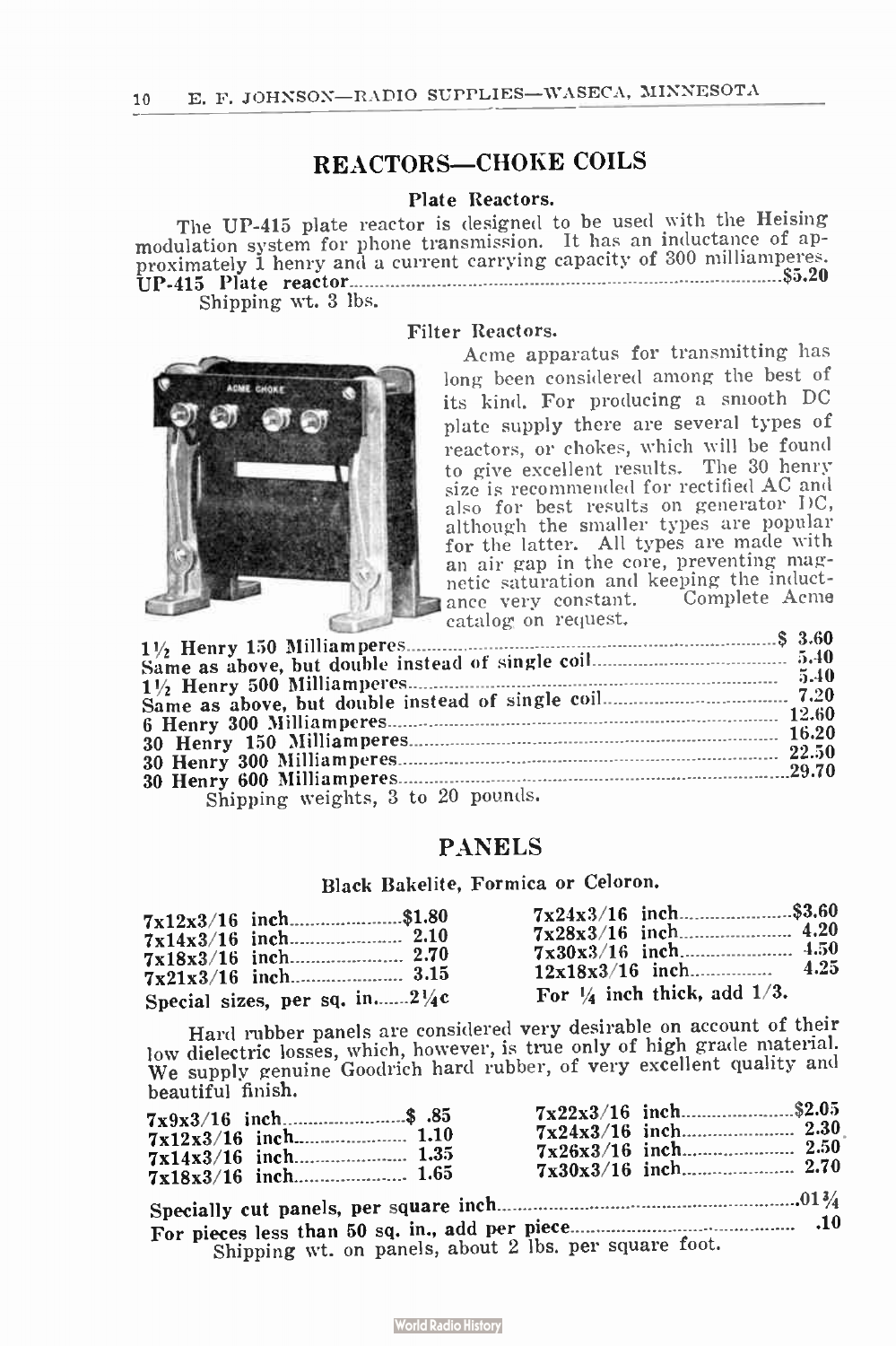# REACTORS-CHOKE COILS

#### Plate Reactors.

The UP-415 plate reactor is designed to be used with the Heising modulation system for phone transmission. It has an inductance of ap-<br>proximately 1 henry and a current carrying capacity of 300 milliamperes.<br>UP-415 Plate reactor

Shipping wt. 3 lbs.





Acme apparatus for transmitting has long been considered among the best of its kind. For producing a smooth DC plate supply there are several types of reactors, or chokes, which will be found to give excellent results. The 30 henry size is recommended for rectified AC and also for best results on generator DC, although the smaller types are popular for the latter. All types are made with an air gap in the core, preventing magnetic saturation and keeping the inductance very constant. Complete Acme catalog on request.

|                                                                                                          | $\alpha$ called $\alpha$ , on $\alpha$ or $\alpha$ |  |
|----------------------------------------------------------------------------------------------------------|----------------------------------------------------|--|
|                                                                                                          |                                                    |  |
|                                                                                                          |                                                    |  |
|                                                                                                          |                                                    |  |
|                                                                                                          |                                                    |  |
|                                                                                                          |                                                    |  |
|                                                                                                          |                                                    |  |
|                                                                                                          |                                                    |  |
|                                                                                                          |                                                    |  |
|                                                                                                          |                                                    |  |
|                                                                                                          |                                                    |  |
| $\alpha$ . $\alpha$ $\alpha$ $\alpha$ $\beta$ $\beta$ $\alpha$ $\beta$ $\alpha$ $\beta$ $\alpha$ $\beta$ |                                                    |  |

Shipping weights, 3

#### PANELS

Black Bakelite, Formica or Celoron.

| $7x12x3/16$ inch\$1.80                    | $7x24x3/16$ inch\$3.60                 |
|-------------------------------------------|----------------------------------------|
| Special sizes, per sq. in $2\sqrt[1]{4}c$ | For $\frac{1}{4}$ inch thick, add 1/3. |

Hard rubber panels are considered very desirable on account of their low dielectric losses, which, however, is true only of high grade material. We supply genuine Goodrich hard rubber, of very excellent quality and beautiful finish.

| $7x9x3/16$ inch\$ .85                                 | $7x22x3/16$ inch\$2.05 |
|-------------------------------------------------------|------------------------|
|                                                       |                        |
| Shipping wt. on panels, about 2 lbs. per square foot. |                        |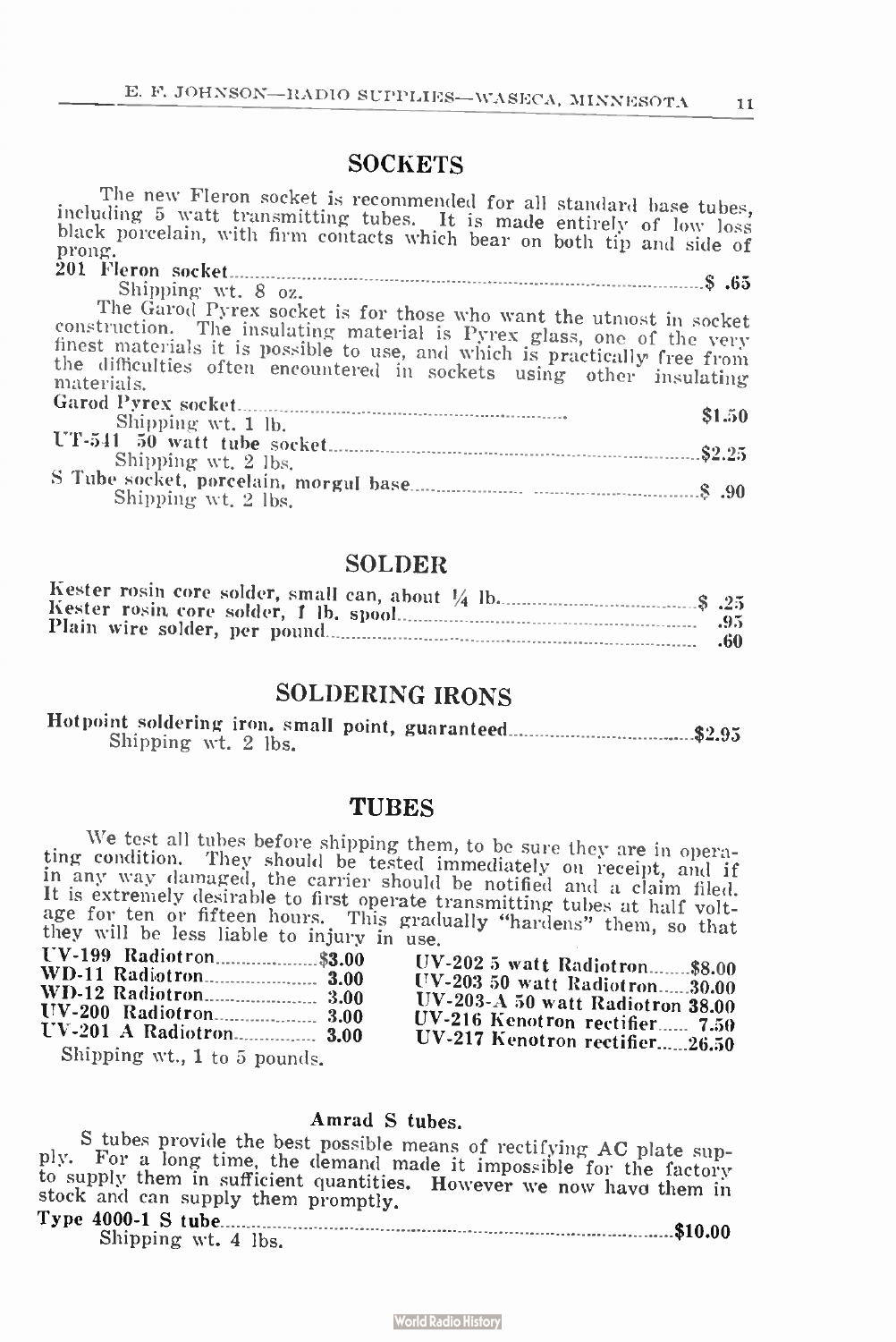# **SOCKETS**

| The new rieron socket is recommended for all standard base tubes,<br>including 5 watt transmitting tubes. It is made entirely of low loss<br>black porcelain, with firm contacts which bear on both tip and side of<br>prong.                                                                                  |
|----------------------------------------------------------------------------------------------------------------------------------------------------------------------------------------------------------------------------------------------------------------------------------------------------------------|
|                                                                                                                                                                                                                                                                                                                |
| Shipping wt. 8 oz.                                                                                                                                                                                                                                                                                             |
| The Garod Pyrex socket is for those who want the utmost in socket<br>construction. The insulating material is Pyrex glass, one of the very<br>finest materials it is possible to use, and which is practically free from<br>the difficulties often encountered in sockets using other insulating<br>materials. |
| \$1.50                                                                                                                                                                                                                                                                                                         |
| Shipping wt. 1 lb.                                                                                                                                                                                                                                                                                             |
| \$2.25                                                                                                                                                                                                                                                                                                         |
| Shipping wt. 2 lbs.                                                                                                                                                                                                                                                                                            |
| Shipping wt. 2 lbs.                                                                                                                                                                                                                                                                                            |

## SOLDER

# SOLDERING IRONS

| Shipping wt. 2 lbs. |  |
|---------------------|--|

#### **TUBES**

We test all tubes before shipping them, to be sure they are in operaing condition. They should be tested immediately on receipt, and if<br>in any way damaged, the carrier should be notified and a claim filed. It is extremely desirable to first operate transmitting tubes at half voltage for ten or fifteen hours. This gradually "hardens" them, so that they will be less liable to injury in use.

| $UV-2025$ watt Radiotron\$8.00<br>$UV-20350$ watt Radiotron30.00<br>UV-203-A 50 watt Radiotron $38.00$<br>UV-216 Kenotron rectifier 7.50<br>UV-217 Kenotron rectifier26.50 |
|----------------------------------------------------------------------------------------------------------------------------------------------------------------------------|
|                                                                                                                                                                            |

#### Amrad S tubes.

S tubes provide the best possible means of rectifying AC plate supply. For a long time, the demand made it impossible for the factory to supply them in sufficient quantities. However we now have them in stock and can supply them promptly.<br>Type 4000-1 S tube

| Shipping wt. 4 lbs. |  |
|---------------------|--|

**World Radio History**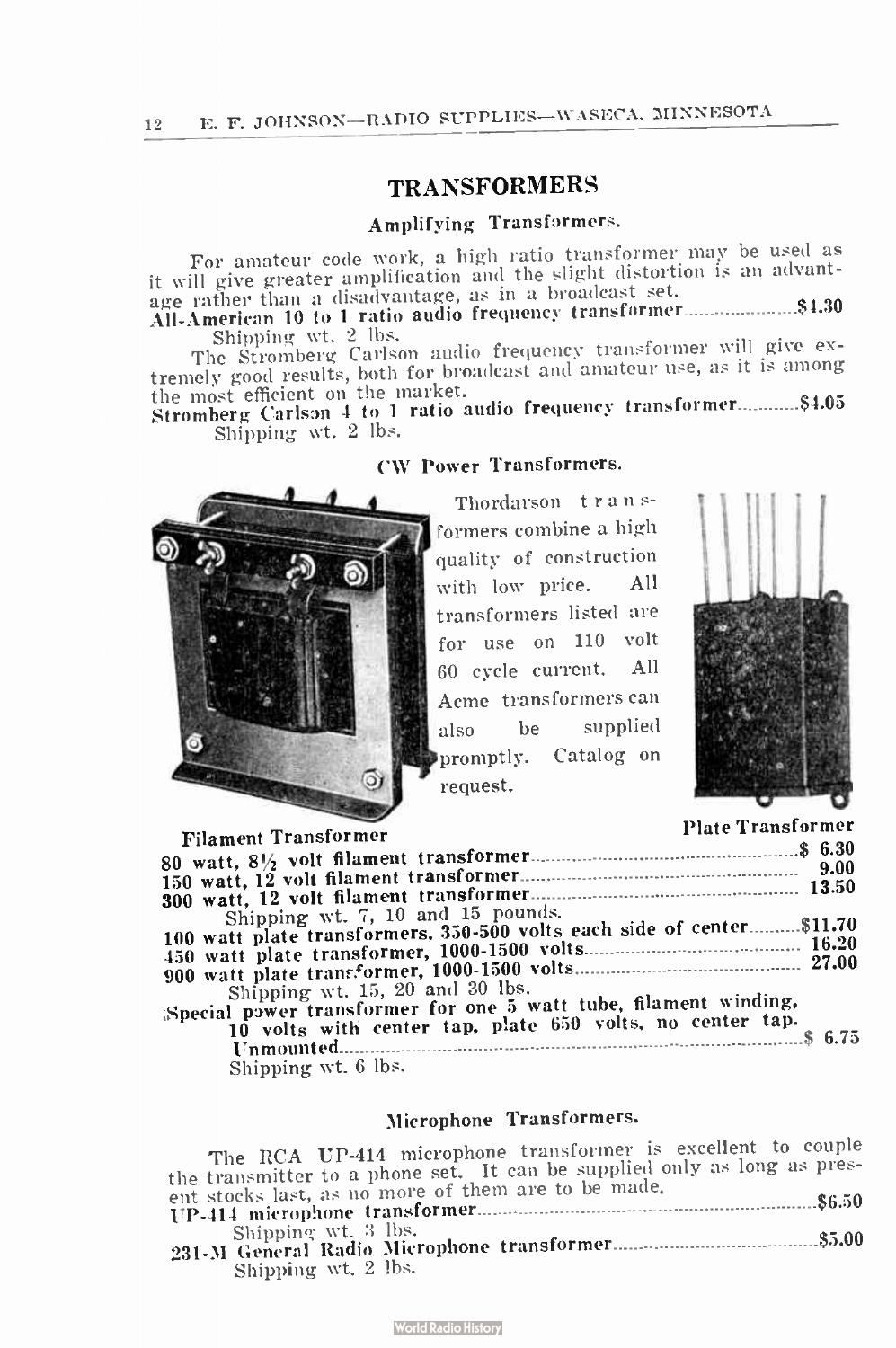# TRANSFORMERS

#### Amplifying Transformers.

For amateur code work, a high ratio transformer may be used as it will give greater amplification and the slight distortion is an advantage rather than a disadvantage, as in a broadcast set.

All-American 10 to 1 ratio audio frequency transformer \$1.30 Shipping wt. 2 lbs.

The Stromberg Carlson audio frequency transformer will give extremely good results, both for broadcast and amateur use, as it is among

the most efficient on the market.<br>Stromberg Carlson 4 to 1 ratio audio frequency transformer...........\$4.05 Shipping wt. 2 lbs.

# CW Power Transformers.

Thordarson t r an sformers combine a high quality of construction with low price. All transformers listed are for use on 110 volt 60 cycle current. All Acme transformers can also be supplied promptly. Catalog on request.



Filament Transformer 80 watt, 81/<sup>2</sup> volt filament transformer \$ 6.30 150 watt, 12 volt filament transformer 9.00

o).

| Shipping wt. 7, 10 and 15 pounds.                                     |
|-----------------------------------------------------------------------|
|                                                                       |
| 100 watt plate transformers, 350-500 volts each side of center\$11.70 |
|                                                                       |
|                                                                       |
|                                                                       |
| Shipping wt. 15, 20 and 30 lbs.                                       |
|                                                                       |
| Special power transformer for one 5 watt tube, filament winding,      |
| 10 volts with cepter tap, plate 650 volts, no center tap.             |
|                                                                       |

Unmounted \$ 6.75

Shipping wt. 6 lbs.

# Microphone Transformers.

The RCA UP-414 microphone transformer is excellent to couple the transmitter to a phone set. It can be supplied only as long as present stocks last, as no more of them are to be made. ent stocks last, as no more of them are to be made. UP- 414 microphone transformer \$6.50 Shipping. wt. 3 lbs. 231-M General Radio Microphone transformer \$5.00 Shipping wt. 2 lbs.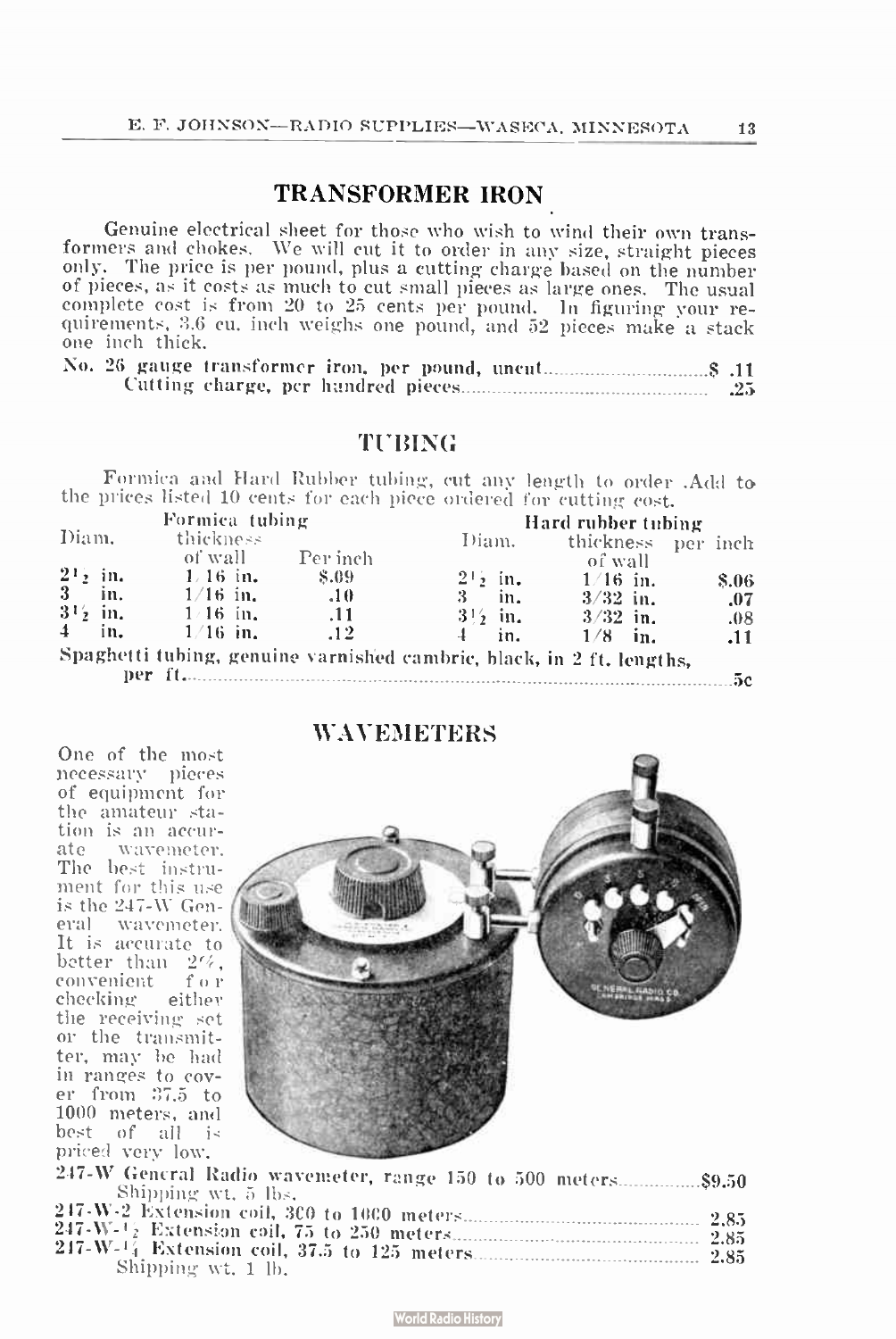# TRANSFORMER IRON

Genuine electrical sheet for those who wish to wind their own transformers and chokes. We will cut it to order in any size, straight pieces only. The price is per pound, plus a cutting charge based on the number of pieces, as it costs as much to cut small pieces as large ones. The usual complete cost is from 20 to 25 cents per pound. In figuring your requirements, 3.6 cu. inch weighs one pound, and 52 pieces make a stack one inch thick.

|  |  |  |  | .Z.N |
|--|--|--|--|------|

# TUBING

Formica and Hard Rubber tubing, cut any length to order . Add to the prices listed 10 cents for each piece ordered for cutting cost.

|               |               | Formica tubing |          |                                                                       | Hard rubber tubing |       |
|---------------|---------------|----------------|----------|-----------------------------------------------------------------------|--------------------|-------|
| Diam.         |               | thickness      |          | Diam.                                                                 | thickness per inch |       |
|               |               | of wall        | Per inch |                                                                       | of wall            |       |
| $2^{1}$ in.   |               | $1/16$ in.     | - S.09   | $2! \cdot \text{in.}$                                                 | $1/16$ in.         | \$.06 |
| $3 -$         | in.           | $1/16$ in.     | .10      | in.<br>3                                                              | $3/32$ in.         | .07   |
|               | $3^{1/2}$ in. | $1/16$ in.     | .11      | $3!\frac{1}{2}$ in.                                                   | $3/32$ in.         | .08   |
| $\frac{4}{ }$ | in.           | $1/16$ in.     | .12      | in.                                                                   | $1/8$ in.          | .11   |
|               |               |                |          | Spaghetti tubing, genuine varnished cambric, black, in 2 ft. lengths, |                    |       |

per ft. 5c

## **WAVEMETERS**

One of the most necessary pieces of equipment for the amateur station is an accurate wavemeter. The best instrument for this use is the 247-W General wavcmeter. It is accurate to better than  $2\%$ , convenient f o r checking either the receiving set or the transmitter, may be had in ranges to cover from 37.5 to 1000 meters, and best of all is priced very low.



| 247-W General Radio wavemeter, range 150 to 500 meters\$9.50 |  |
|--------------------------------------------------------------|--|
| Shipping wt. 5 lbs.                                          |  |
|                                                              |  |
|                                                              |  |
|                                                              |  |
| Shipping wt. 1 lb.                                           |  |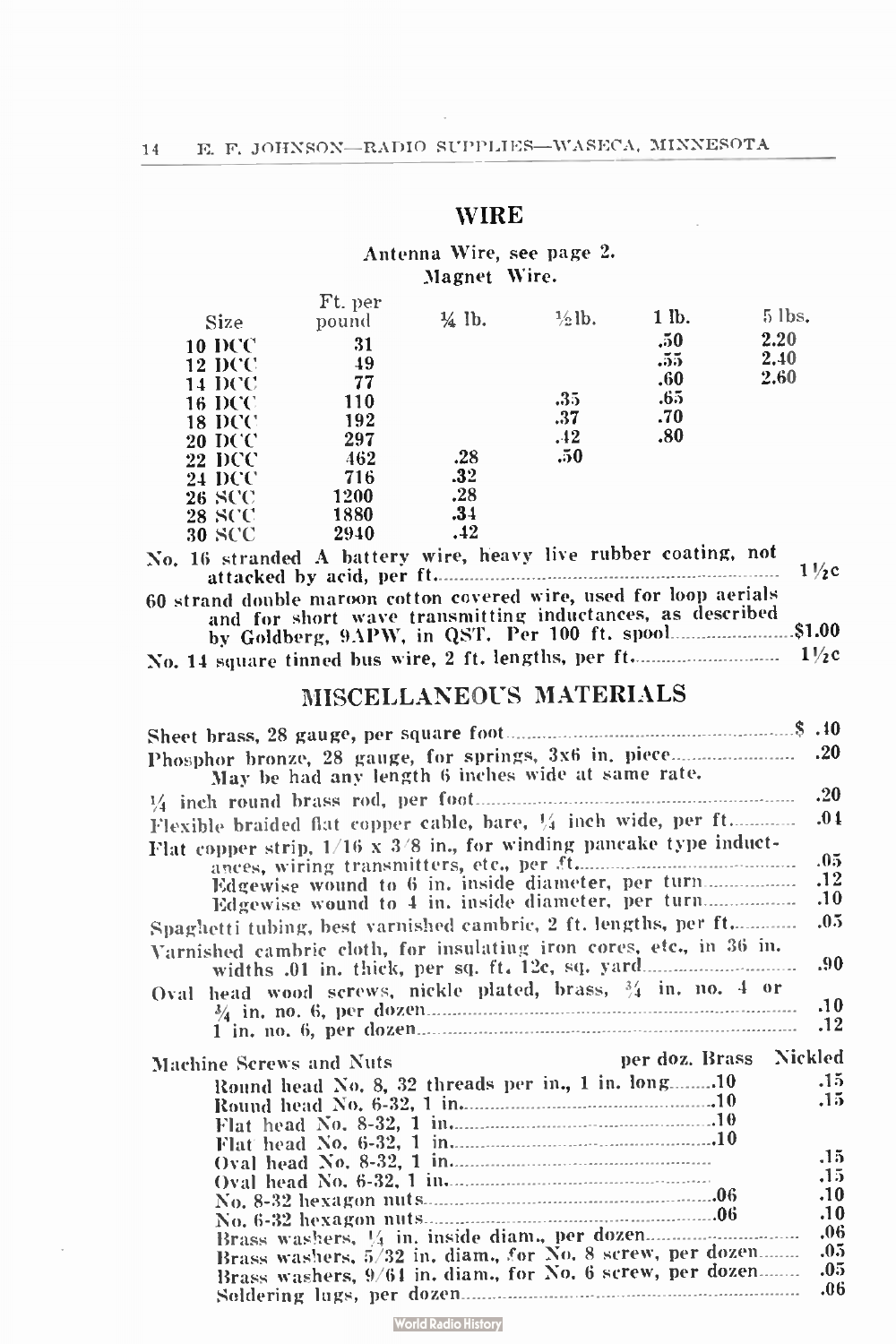# WIRE

# Antenna Wire, see page 2. Magnet Wire.

| <b>Size</b>   | Ft. per<br>pound | 1/ <sub>4</sub> lb. | $\frac{1}{2}$ lb. | 1 lb. | $5$ lbs. |
|---------------|------------------|---------------------|-------------------|-------|----------|
| <b>10 DCC</b> | 31               |                     |                   | .50   | 2.20     |
| <b>12 DCC</b> | 49               |                     |                   | .55   | 2.40     |
| <b>14 DCC</b> | 77               |                     |                   | .60   | 2.60     |
| <b>16 DCC</b> | 110              |                     | .35               | .65   |          |
| <b>18 DCC</b> | 192              |                     | .37               | .70   |          |
| 20 DCC        | 297              |                     | .42               | .80   |          |
| <b>22 DCC</b> | 462              | .28                 | .50               |       |          |
| <b>24 DCC</b> | 716              | .32                 |                   |       |          |
| <b>26 SCC</b> | 1200             | .28                 |                   |       |          |
| <b>28 SCC</b> | 1880             | .34                 |                   |       |          |
| <b>30 SCC</b> | 2940             | .42                 |                   |       |          |

| No. 16 stranded A battery wire, heavy live rubber coating, not     |  |
|--------------------------------------------------------------------|--|
| 60 strand double maroon cotton covered wire, used for loop aerials |  |
| and for short wave transmitting inductances, as described          |  |
|                                                                    |  |

# MISCELLANEOUS MATERIALS

| Phosphor bronze, 28 gauge, for springs, 3x6 in. piece                      | .20 |
|----------------------------------------------------------------------------|-----|
| May be had any length 6 inches wide at same rate.                          |     |
|                                                                            | .20 |
| Flexible braided flat copper cable, bare, 1/4 inch wide, per ft            | .01 |
| Flat copper strip, $1/16 \times 3/8$ in., for winding pancake type induct- | .05 |
| Edgewise wound to 6 in. inside diameter, per turn                          | .12 |
| Edgewise wound to 4 in. inside diameter, per turn                          | .10 |
|                                                                            | .05 |
| Spaghetti tubing, best varnished cambric, 2 ft. lengths, per ft            |     |
| Varnished cambric cloth, for insulating iron cores, etc., in 36 in.        | .90 |
| Oval head wood screws, nickle plated, brass, 34 in. no. 4 or               |     |
|                                                                            | .10 |
|                                                                            | .12 |
| per doz. Brass Nickled<br>Machine Screws and Nuts                          |     |
| Round head No. 8, 32 threads per in., 1 in. long10                         | .15 |
|                                                                            | .15 |
|                                                                            |     |
|                                                                            |     |
|                                                                            | .15 |
|                                                                            | .15 |
|                                                                            | .10 |
|                                                                            | .10 |
| Brass washers, 1/4 in. inside diam., per dozen                             | .06 |
| Brass washers, 5/32 in, diam., for No. 8 screw, per dozen                  | .05 |
| Brass washers, 9/64 in. diam., for No. 6 screw, per dozen                  | .05 |
|                                                                            | .06 |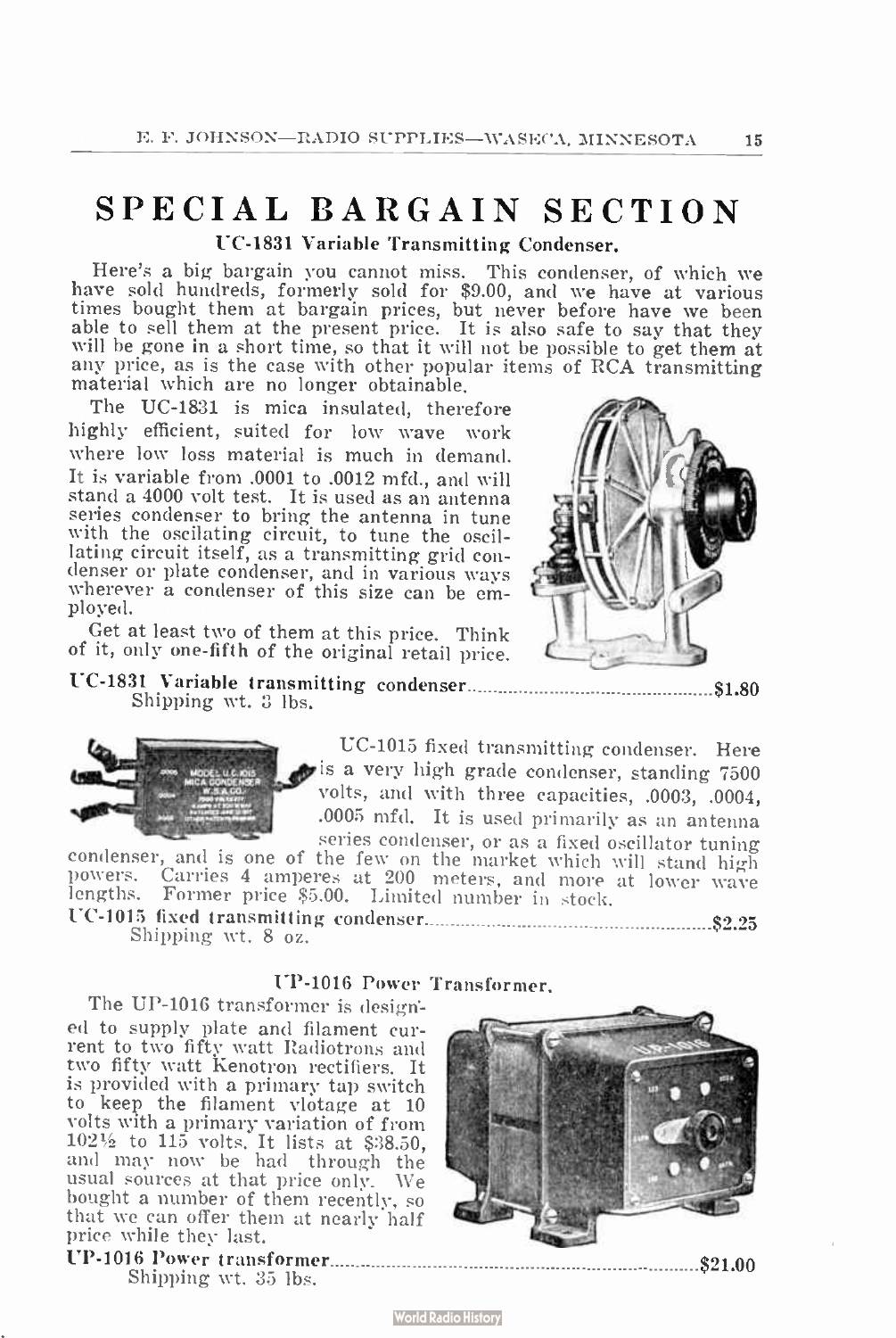# SPECIAL BARGAIN SECTION UC-1831 Variable Transmitting Condenser.

Here's a big bargain you cannot miss. This condenser, of which we have sold hundreds, formerly sold for \$9.00, and we have at various times bought them at bargain prices, but never before have we been able to sell them at the present price. It is also safe to say that they will be gone in a short time, so that it will not be possible to get them at any price, as is the case with other popular items of RCA transmitting material which are no longer obtainable.

The UC-1831 is mica insulated, therefore highly efficient, suited for low wave work where low loss material is much in demand. It is variable from .0001 to .0012 mfd., and will stand a 4000 volt test. It is used as an antenna series condenser to bring the antenna in tune with the oscilating circuit, to tune the oscil-<br>lating circuit itself, as a transmitting grid condenser or plate condenser, and in various ways wherever a condenser of this size can be employed.

Get at least two of them at this price. Think of it, only one-fifth of the original retail price.



UC-1831 Variable transmitting condenser \$1.80 Shipping wt. 3 lbs.



UC-1015 fixed transmitting condenser. Here is a very high grade condenser, standing 7500 volts, and with three capacities, .0003, .0004, .0005 mfd. It is used primarily as an antenna series condenser, or as a fixed oscillator tuning

condenser, and is one of the few on the market which will stand high powers. Carries 4 amperes at 200 meters, and more at lower wave lengths. Former price \$ 5.00. Limited number in stock. UC-1015 fixed transmitting condenser \$2.25

Shipping wt. 8 oz.

# UP-1016 Power Transformer.

The UP-1016 transformer is designed to supply plate and filament current to two fifty watt Radiotrons and two fifty watt Kenotron rectifiers. It is provided with a primary tap switch to keep the filament vlotage at 10 volts with a primary variation of from<br>102½ to 115 volts. It lists at \$38.50,<br>and may now be had through the usual sources at that price only. We bought a number of them recently, so that we can offer them at nearly half price while they last.

UP-1016 Power transformer...

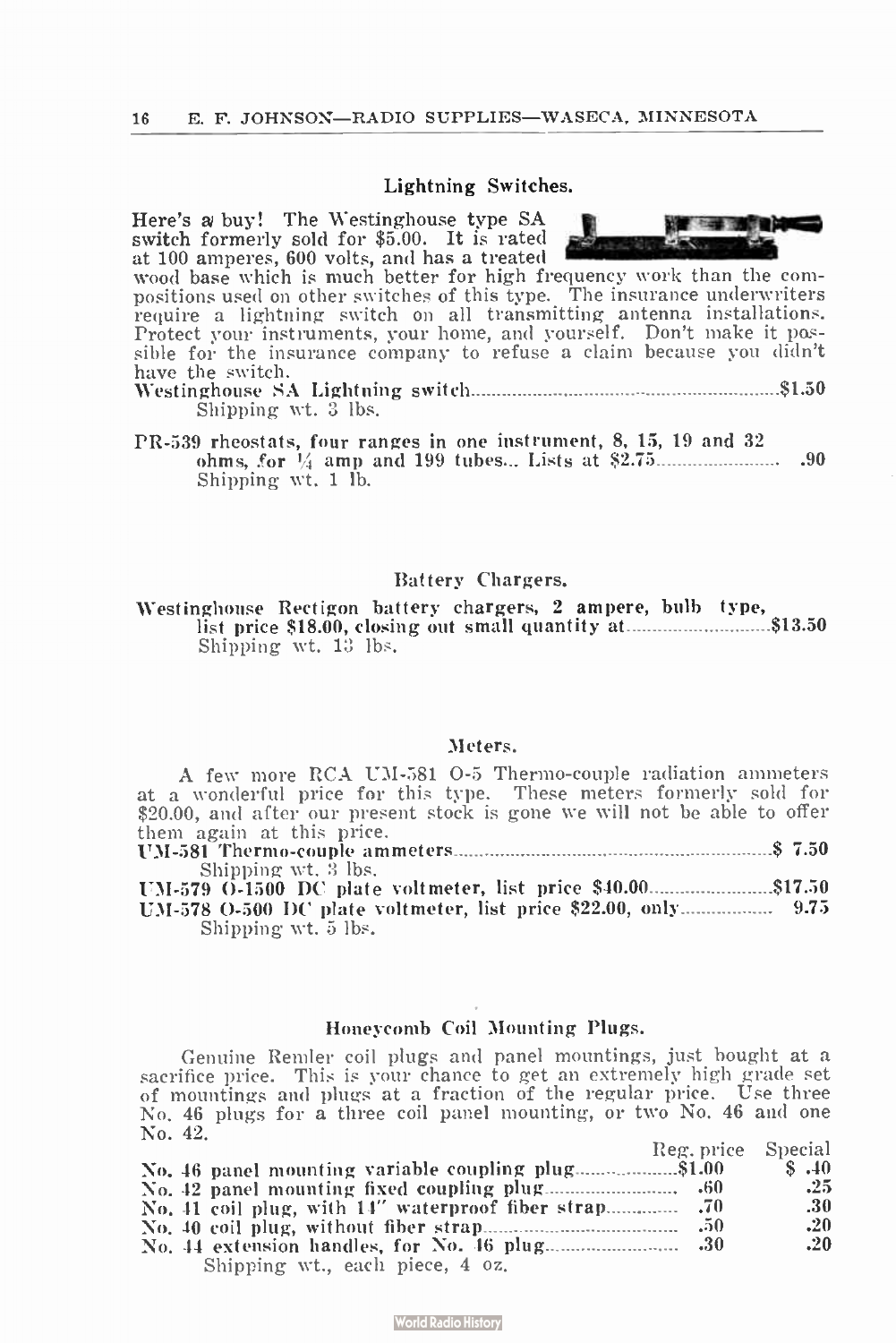#### Lightning Switches.

Here's a buy! The Westinghouse type SA switch formerly sold for \$5.00. It is rated at 100 amperes, 600 volts, and has a treated We has a final

wood base which is much better for high frequency work than the compositions used on other switches of this type. The insurance underwriters require a lightning switch on all transmitting antenna installations. Protect your instruments, your home, and yourself. Don't make it possible for the insurance company to refuse a claim because you didn't have the switch.

Westinghouse SA Lightning switch \$1.50 Shipping wt. 3 lbs.

PR-539 rheostats, four ranges in one instrument, 8, 15, 19 and 32 ohms, .for Vi amp and 199 tubes... Lists at \$ 2.75 .90 Shipping wt. 1 lb.

#### Battery Chargers.

Westinghouse Rectigon battery chargers, 2 ampere, bulb type, list price  $$18.00$ , closing out small quantity at  $313.50$ Shipping wt. 13 lbs.

#### Meters.

A few more RCA UM-581 0-5 Thermo-couple radiation ammeters at a wonderful price for this type. These meters formerly sold for \$20.00, and after our present stock is gone we will not be able to offer them again at this price.

UM-581 Thermo-couple ammeters \$ 7.50 Shipping wt. 3 lbs.<br>UM-579 O-1500 DC plate voltmeter, list price \$40.00.......................\$17.50 }

UM-578 0-500 DC plate voltmeter, list price \$22.00, only ........................ 9.75 Shipping wt. 5 lbs.

#### Honeycomb Coil Mounting Plugs.

Genuine Remler coil plugs and panel mountings, just bought at a sacrifice price. This is your chance to get an extremely high grade set of mountings and plugs at a fraction of the regular price. Use three No. 46 plugs for a three coil panel mounting, or two No. 46 and one No. 42.  $\mathbf{p}_1$  .  $\mathbf{p}_2$  .  $\mathbf{p}_3$  .  $\mathbf{p}_4$ 

| Reg. price Special                                 |               |
|----------------------------------------------------|---------------|
| No. 46 panel mounting variable coupling plug\$1.00 | $\sim$ \$ .40 |
|                                                    | .25           |
|                                                    | -30           |
|                                                    | .20           |
|                                                    | .20           |
| Shipping wt., each piece, 4 oz.                    |               |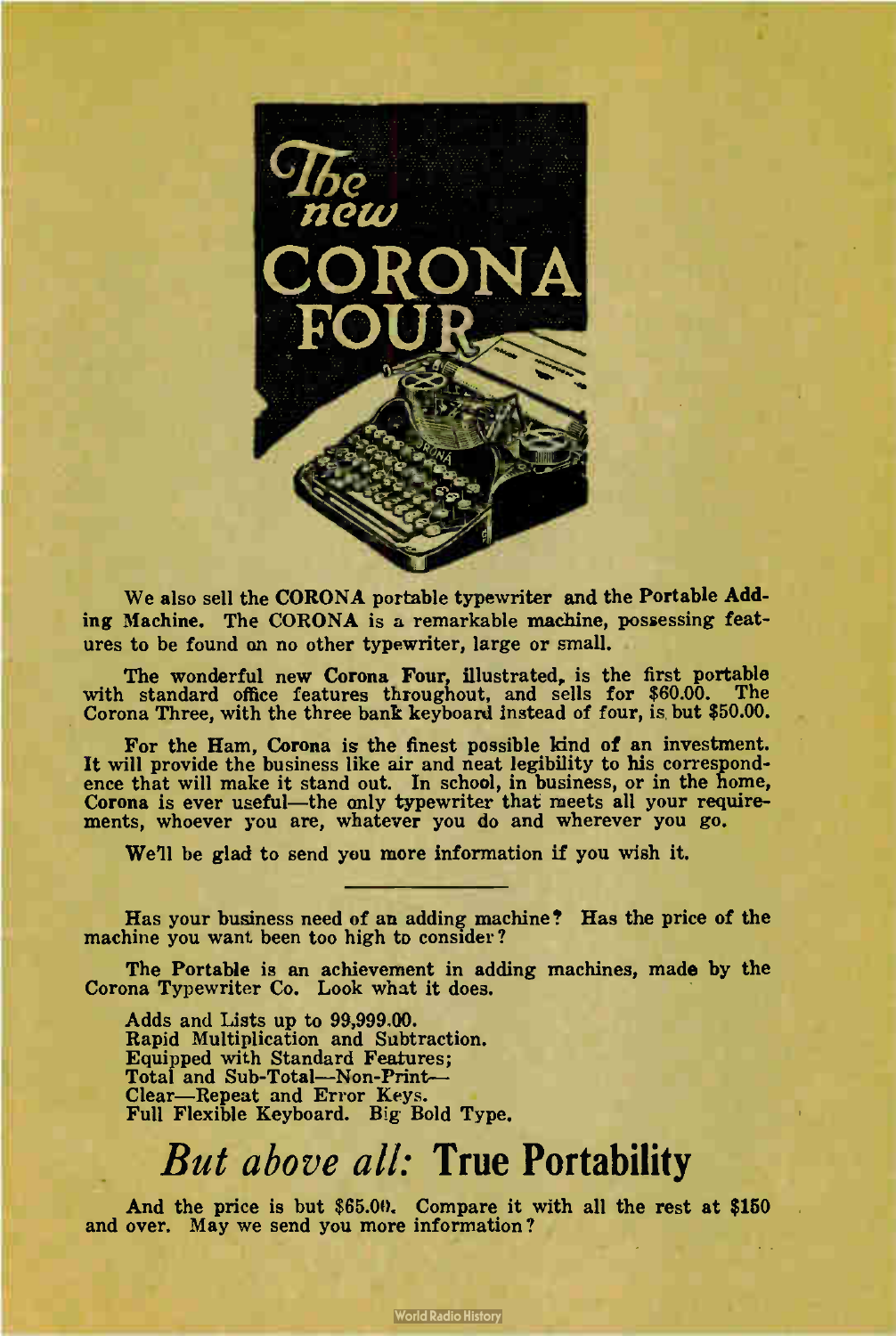

We also sell the CORONA portable typewriter and the Portable Adding Machine. The CORONA is a remarkable machine, possessing features to be found an no other typewriter, large or small.

The wonderful new Corona Four, illustrated, is the first portable with standard office features throughout, and sells for \$60.00. The Corona Three, with the three bank keyboard instead of four, is but \$50.00.

For the Ham, Corona is the finest possible kind of an investment. It will provide the business like air and neat legibility to his correspondence that will make it stand out. In school, in business, or in the home, Corona is ever useful—the only typewriter that meets all your requirements, whoever you are, whatever you do and wherever you go.

We'll be glad to send you more information if you wish it.

Has your business need of an adding machine? Has the price of the machine you want been too high to consider?

The Portable is an achievement in adding machines, made by the Corona Typewriter Co. Look what it does.

Adds and Lists up to 99,999.00. Rapid Multiplication and Subtraction. Equipped with Standard Features; Total and Sub-Total—Non-Print— Clear—Repeat and Error Keys. Full Flexible Keyboard. Big Bold Type.

# But above all: True Portability

And the price is but  $$65.00$ . Compare it with all the rest at  $$150$ and over. May we send you more information?